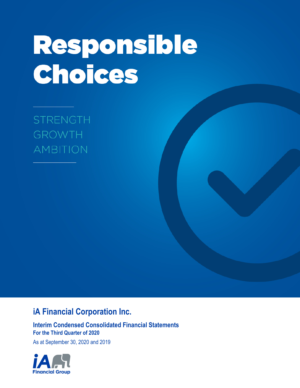# Responsible Choices

**STRENGTH GROWTH AMBITION** 

# **iA Financial Corporation Inc.**

**Interim Condensed Consolidated Financial Statements For the Third Quarter of 2020**

As at September 30, 2020 and 2019

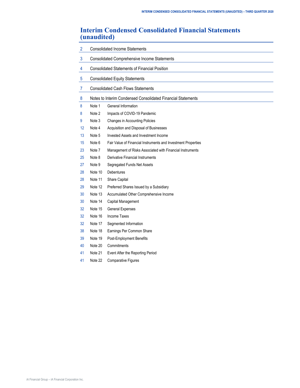# **Interim Condensed Consolidated Financial Statements (unaudited)**

| $\overline{2}$ |         | <b>Consolidated Income Statements</b>                         |
|----------------|---------|---------------------------------------------------------------|
| 3              |         | <b>Consolidated Comprehensive Income Statements</b>           |
| 4              |         | <b>Consolidated Statements of Financial Position</b>          |
| 5              |         | <b>Consolidated Equity Statements</b>                         |
| $\overline{7}$ |         | <b>Consolidated Cash Flows Statements</b>                     |
|                |         |                                                               |
| 8              |         | Notes to Interim Condensed Consolidated Financial Statements  |
| 8              | Note 1  | General Information                                           |
| 8              | Note 2  | Impacts of COVID-19 Pandemic                                  |
| 9              | Note 3  | Changes in Accounting Policies                                |
| 12             | Note 4  | Acquisition and Disposal of Businesses                        |
| 13             | Note 5  | Invested Assets and Investment Income                         |
| 15             | Note 6  | Fair Value of Financial Instruments and Investment Properties |
| 23             | Note 7  | Management of Risks Associated with Financial Instruments     |
| 25             | Note 8  | <b>Derivative Financial Instruments</b>                       |
| 27             | Note 9  | Segregated Funds Net Assets                                   |
| 28             | Note 10 | <b>Debentures</b>                                             |
| 28             | Note 11 | Share Capital                                                 |
| 29             | Note 12 | Preferred Shares Issued by a Subsidiary                       |
| 30             | Note 13 | Accumulated Other Comprehensive Income                        |
| 30             | Note 14 | Capital Management                                            |
| 32             | Note 15 | <b>General Expenses</b>                                       |
| 32             | Note 16 | <b>Income Taxes</b>                                           |
| 32             | Note 17 | Segmented Information                                         |
| 38             | Note 18 | Earnings Per Common Share                                     |
| 39             | Note 19 | Post-Employment Benefits                                      |
| 40             | Note 20 | Commitments                                                   |
| 41             | Note 21 | Event After the Reporting Period                              |
| 41             | Note 22 | <b>Comparative Figures</b>                                    |
|                |         |                                                               |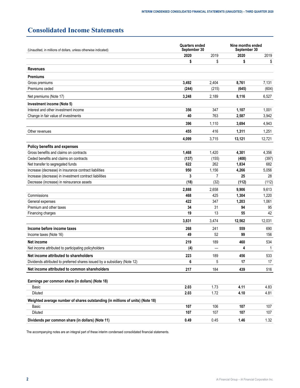# <span id="page-3-0"></span>**Consolidated Income Statements**

| (Unaudited, in millions of dollars, unless otherwise indicated)                | <b>Quarters ended</b><br>September 30 |       | Nine months ended<br>September 30 |        |  |
|--------------------------------------------------------------------------------|---------------------------------------|-------|-----------------------------------|--------|--|
|                                                                                | 2020                                  | 2019  | 2020                              | 2019   |  |
|                                                                                | \$                                    | \$    | \$                                | \$     |  |
| <b>Revenues</b>                                                                |                                       |       |                                   |        |  |
| <b>Premiums</b>                                                                |                                       |       |                                   |        |  |
| Gross premiums                                                                 | 3,492                                 | 2,404 | 8,761                             | 7,131  |  |
| Premiums ceded                                                                 | (244)                                 | (215) | (645)                             | (604)  |  |
| Net premiums (Note 17)                                                         | 3,248                                 | 2,189 | 8,116                             | 6,527  |  |
| Investment income (Note 5)                                                     |                                       |       |                                   |        |  |
| Interest and other investment income                                           | 356                                   | 347   | 1,107                             | 1,001  |  |
| Change in fair value of investments                                            | 40                                    | 763   | 2,587                             | 3,942  |  |
|                                                                                | 396                                   | 1,110 | 3,694                             | 4,943  |  |
| Other revenues                                                                 | 455                                   | 416   | 1,311                             | 1,251  |  |
|                                                                                | 4,099                                 | 3,715 | 13,121                            | 12,721 |  |
| Policy benefits and expenses                                                   |                                       |       |                                   |        |  |
| Gross benefits and claims on contracts                                         | 1,468                                 | 1,420 | 4,301                             | 4,356  |  |
| Ceded benefits and claims on contracts                                         | (137)                                 | (155) | (408)                             | (397)  |  |
| Net transfer to segregated funds                                               | 622                                   | 262   | 1,834                             | 682    |  |
| Increase (decrease) in insurance contract liabilities                          | 950                                   | 1,156 | 4,266                             | 5,056  |  |
| Increase (decrease) in investment contract liabilities                         | 3                                     | 7     | 25                                | 28     |  |
| Decrease (increase) in reinsurance assets                                      | (18)                                  | (32)  | (112)                             | (112)  |  |
|                                                                                | 2,888                                 | 2,658 | 9,906                             | 9,613  |  |
| Commissions                                                                    | 468                                   | 425   | 1,304                             | 1,220  |  |
| General expenses                                                               | 422                                   | 347   | 1,203                             | 1,061  |  |
| Premium and other taxes                                                        | 34                                    | 31    | 94                                | 95     |  |
| Financing charges                                                              | 19                                    | 13    | 55                                | 42     |  |
|                                                                                | 3,831                                 | 3,474 | 12,562                            | 12,031 |  |
| Income before income taxes                                                     | 268                                   | 241   | 559                               | 690    |  |
| Income taxes (Note 16)                                                         | 49                                    | 52    | 99                                | 156    |  |
| Net income                                                                     | 219                                   | 189   | 460                               | 534    |  |
| Net income attributed to participating policyholders                           | (4)                                   |       | 4                                 | 1      |  |
| Net income attributed to shareholders                                          | 223                                   | 189   | 456                               | 533    |  |
| Dividends attributed to preferred shares issued by a subsidiary (Note 12)      | 6                                     | 5     | 17                                | 17     |  |
| Net income attributed to common shareholders                                   | 217                                   | 184   | 439                               | 516    |  |
| Earnings per common share (in dollars) (Note 18)                               |                                       |       |                                   |        |  |
| Basic                                                                          | 2.03                                  | 1.73  | 4.11                              | 4.83   |  |
| Diluted                                                                        | 2.03                                  | 1.72  | 4.10                              | 4.81   |  |
| Weighted average number of shares outstanding (in millions of units) (Note 18) |                                       |       |                                   |        |  |
| Basic                                                                          | 107                                   | 106   | 107                               | 107    |  |
| Diluted                                                                        | 107                                   | 107   | 107                               | 107    |  |
| Dividends per common share (in dollars) (Note 11)                              | 0.49                                  | 0.45  | 1.46                              | 1.32   |  |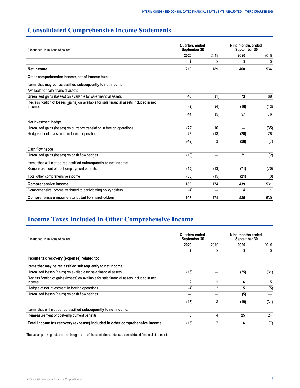# <span id="page-4-0"></span>**Consolidated Comprehensive Income Statements**

| (Unaudited, in millions of dollars)                                                                 | Quarters ended<br>September 30 |      | Nine months ended<br>September 30 |      |
|-----------------------------------------------------------------------------------------------------|--------------------------------|------|-----------------------------------|------|
|                                                                                                     | 2020                           | 2019 | 2020                              | 2019 |
|                                                                                                     | S                              | \$   |                                   | \$   |
| Net income                                                                                          | 219                            | 189  | 460                               | 534  |
| Other comprehensive income, net of income taxes                                                     |                                |      |                                   |      |
| Items that may be reclassified subsequently to net income:                                          |                                |      |                                   |      |
| Available for sale financial assets                                                                 |                                |      |                                   |      |
| Unrealized gains (losses) on available for sale financial assets                                    | 46                             | (1)  | 73                                | 89   |
| Reclassification of losses (gains) on available for sale financial assets included in net<br>income | (2)                            | (4)  | (16)                              | (13) |
|                                                                                                     | 44                             | (5)  | 57                                | 76   |
| Net investment hedge                                                                                |                                |      |                                   |      |
| Unrealized gains (losses) on currency translation in foreign operations                             | (72)                           | 16   |                                   | (35) |
| Hedges of net investment in foreign operations                                                      | 23                             | (13) | (28)                              | 28   |
|                                                                                                     | (49)                           | 3    | (28)                              | (7)  |
| Cash flow hedge                                                                                     |                                |      |                                   |      |
| Unrealized gains (losses) on cash flow hedges                                                       | (10)                           |      | 21                                | (2)  |
| Items that will not be reclassified subsequently to net income:                                     |                                |      |                                   |      |
| Remeasurement of post-employment benefits                                                           | (15)                           | (13) | (71)                              | (70) |
| Total other comprehensive income                                                                    | (30)                           | (15) | (21)                              | (3)  |
| <b>Comprehensive income</b>                                                                         | 189                            | 174  | 439                               | 531  |
| Comprehensive income attributed to participating policyholders                                      | (4)                            |      | 4                                 |      |
| Comprehensive income attributed to shareholders                                                     | 193                            | 174  | 435                               | 530  |

# **Income Taxes Included in Other Comprehensive Income**

| (Unaudited, in millions of dollars)                                                                        | <b>Quarters ended</b><br>September 30 |      | Nine months ended<br>September 30 |      |
|------------------------------------------------------------------------------------------------------------|---------------------------------------|------|-----------------------------------|------|
|                                                                                                            | 2020                                  | 2019 | 2020                              | 2019 |
|                                                                                                            |                                       | S    |                                   |      |
| Income tax recovery (expense) related to:                                                                  |                                       |      |                                   |      |
| Items that may be reclassified subsequently to net income:                                                 |                                       |      |                                   |      |
| Unrealized losses (gains) on available for sale financial assets                                           | (16)                                  |      | (25)                              | (31) |
| Reclassification of gains (losses) on available for sale financial assets included in net<br><b>Income</b> | 2                                     |      | 6                                 | 5    |
| Hedges of net investment in foreign operations                                                             | (4)                                   | 2    | 5                                 | (5)  |
| Unrealized losses (gains) on cash flow hedges                                                              |                                       |      | (5)                               |      |
|                                                                                                            | (18)                                  | 3    | (19)                              | (31) |
| Items that will not be reclassified subsequently to net income:                                            |                                       |      |                                   |      |
| Remeasurement of post-employment benefits                                                                  | 5                                     | 4    | 25                                | 24   |
| Total income tax recovery (expense) included in other comprehensive income                                 | (13)                                  |      | 6                                 | (7)  |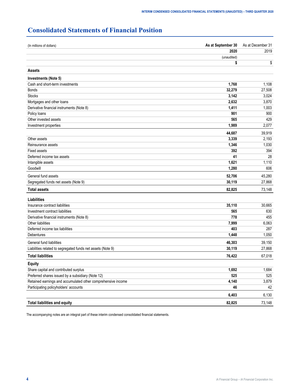# <span id="page-5-0"></span>**Consolidated Statements of Financial Position**

| (In millions of dollars)                                     | As at September 30 | As at December 31 |  |
|--------------------------------------------------------------|--------------------|-------------------|--|
|                                                              | 2020               | 2019              |  |
|                                                              | (unaudited)        |                   |  |
|                                                              | \$                 | \$                |  |
| <b>Assets</b>                                                |                    |                   |  |
| Investments (Note 5)                                         |                    |                   |  |
| Cash and short-term investments                              | 1,768              | 1,108             |  |
| <b>Bonds</b>                                                 | 32,279             | 27,508            |  |
| <b>Stocks</b>                                                | 3,142              | 3,024             |  |
| Mortgages and other loans                                    | 2,632              | 3,870             |  |
| Derivative financial instruments (Note 8)                    | 1,411              | 1,003             |  |
| Policy loans                                                 | 901                | 900               |  |
| Other invested assets                                        | 565                | 429               |  |
| Investment properties                                        | 1,989              | 2,077             |  |
|                                                              | 44,687             | 39,919            |  |
| Other assets                                                 | 3,339              | 2,193             |  |
| Reinsurance assets                                           | 1,346              | 1,030             |  |
| <b>Fixed assets</b>                                          | 392                | 394               |  |
| Deferred income tax assets                                   | 41                 | 28                |  |
| Intangible assets                                            | 1,621              | 1,110             |  |
| Goodwill                                                     | 1,280              | 606               |  |
| General fund assets                                          | 52,706             | 45,280            |  |
| Segregated funds net assets (Note 9)                         | 30,119             | 27,868            |  |
| <b>Total assets</b>                                          | 82,825             | 73,148            |  |
| Liabilities                                                  |                    |                   |  |
| Insurance contract liabilities                               | 35,110             | 30,665            |  |
| Investment contract liabilities                              | 565                | 630               |  |
| Derivative financial instruments (Note 8)                    | 778                | 455               |  |
| Other liabilities                                            | 7,999              | 6,063             |  |
| Deferred income tax liabilities                              | 403                | 287               |  |
| Debentures                                                   | 1,448              | 1,050             |  |
| General fund liabilities                                     | 46,303             | 39,150            |  |
| Liabilities related to segregated funds net assets (Note 9)  | 30,119             | 27,868            |  |
| <b>Total liabilities</b>                                     | 76,422             | 67,018            |  |
| <b>Equity</b>                                                |                    |                   |  |
| Share capital and contributed surplus                        | 1,692              | 1,684             |  |
| Preferred shares issued by a subsidiary (Note 12)            | 525                | 525               |  |
| Retained earnings and accumulated other comprehensive income | 4,140              | 3,879             |  |
| Participating policyholders' accounts                        | 46                 | 42                |  |
|                                                              |                    |                   |  |
|                                                              | 6,403              | 6,130             |  |
| <b>Total liabilities and equity</b>                          | 82,825             | 73,148            |  |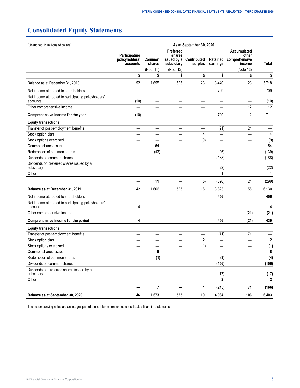# <span id="page-6-0"></span>**Consolidated Equity Statements**

| (Unaudited, in millions of dollars)                               |                                             | As at September 30, 2020 |                                   |                                    |                      |                                                 |       |
|-------------------------------------------------------------------|---------------------------------------------|--------------------------|-----------------------------------|------------------------------------|----------------------|-------------------------------------------------|-------|
|                                                                   | Participating<br>policyholders'<br>accounts | Common<br>shares         | Preferred<br>shares<br>subsidiary | issued by a Contributed<br>surplus | Retained<br>earnings | Accumulated<br>other<br>comprehensive<br>income | Total |
|                                                                   |                                             | (Note 11)                | (Note 12)                         |                                    |                      | (Note 13)                                       |       |
|                                                                   | \$                                          | \$                       | \$                                | \$                                 | \$                   | \$                                              | \$    |
| Balance as at December 31, 2018                                   | 52                                          | 1,655                    | 525                               | 23                                 | 3,440                | 23                                              | 5,718 |
| Net income attributed to shareholders                             |                                             |                          |                                   | —                                  | 709                  |                                                 | 709   |
| Net income attributed to participating policyholders'<br>accounts | (10)                                        |                          |                                   |                                    |                      |                                                 | (10)  |
| Other comprehensive income                                        |                                             |                          |                                   |                                    |                      | 12                                              | 12    |
| Comprehensive income for the year                                 | (10)                                        |                          |                                   |                                    | 709                  | 12                                              | 711   |
| <b>Equity transactions</b>                                        |                                             |                          |                                   |                                    |                      |                                                 |       |
| Transfer of post-employment benefits                              |                                             |                          |                                   |                                    | (21)                 | 21                                              |       |
| Stock option plan                                                 |                                             |                          |                                   | 4                                  | —                    |                                                 | 4     |
| Stock options exercised                                           |                                             |                          |                                   | (9)                                | —                    |                                                 | (9)   |
| Common shares issued                                              |                                             | 54                       |                                   | —                                  |                      |                                                 | 54    |
| Redemption of common shares                                       |                                             | (43)                     |                                   | —                                  | (96)                 |                                                 | (139) |
| Dividends on common shares                                        |                                             | —                        |                                   | —                                  | (188)                |                                                 | (188) |
| Dividends on preferred shares issued by a<br>subsidiary           |                                             |                          |                                   |                                    | (22)                 |                                                 | (22)  |
| Other                                                             |                                             |                          |                                   |                                    | 1                    |                                                 | 1     |
|                                                                   |                                             | 11                       |                                   | (5)                                | (326)                | 21                                              | (299) |
| Balance as at December 31, 2019                                   | 42                                          | 1,666                    | 525                               | 18                                 | 3,823                | 56                                              | 6,130 |
| Net income attributed to shareholders                             |                                             |                          |                                   |                                    | 456                  |                                                 | 456   |
| Net income attributed to participating policyholders'<br>accounts | 4                                           |                          |                                   |                                    |                      |                                                 | 4     |
| Other comprehensive income                                        |                                             |                          |                                   |                                    |                      | (21)                                            | (21)  |
| Comprehensive income for the period                               | 4                                           |                          |                                   |                                    | 456                  | (21)                                            | 439   |
| <b>Equity transactions</b>                                        |                                             |                          |                                   |                                    |                      |                                                 |       |
| Transfer of post-employment benefits                              |                                             |                          |                                   |                                    | (71)                 | 71                                              |       |
| Stock option plan                                                 |                                             |                          |                                   | $\mathbf{2}$                       | —                    |                                                 | 2     |
| Stock options exercised                                           |                                             |                          |                                   | (1)                                | —                    |                                                 | (1)   |
| Common shares issued                                              |                                             | 8                        |                                   |                                    |                      |                                                 | 8     |
| Redemption of common shares                                       |                                             | (1)                      |                                   |                                    | (3)                  |                                                 | (4)   |
| Dividends on common shares                                        |                                             |                          |                                   | —                                  | (156)                |                                                 | (156) |
| Dividends on preferred shares issued by a<br>subsidiary           |                                             |                          |                                   |                                    | (17)                 |                                                 | (17)  |
| Other                                                             | —                                           |                          |                                   | —                                  | $\overline{2}$       | —                                               | 2     |
|                                                                   |                                             | $\overline{7}$           |                                   | 1                                  | (245)                | 71                                              | (166) |
| Balance as at September 30, 2020                                  | 46                                          | 1,673                    | 525                               | 19                                 | 4,034                | 106                                             | 6,403 |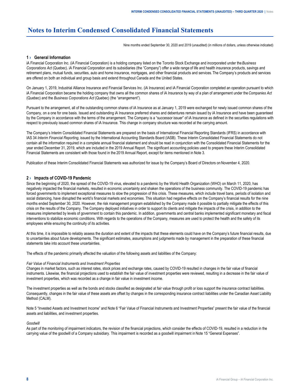# <span id="page-9-0"></span>**Notes to Interim Condensed Consolidated Financial Statements**

Nine months ended September 30, 2020 and 2019 (unaudited) (in millions of dollars, unless otherwise indicated)

# **1 › General Information**

iA Financial Corporation Inc. (iA Financial Corporation) is a holding company listed on the Toronto Stock Exchange and incorporated under the *Business Corporations Act* (Quebec). iA Financial Corporation and its subsidiaries (the "Company") offer a wide range of life and health insurance products, savings and retirement plans, mutual funds, securities, auto and home insurance, mortgages, and other financial products and services. The Company's products and services are offered on both an individual and group basis and extend throughout Canada and the United States.

On January 1, 2019, Industrial Alliance Insurance and Financial Services Inc. (iA Insurance) and iA Financial Corporation completed an operation pursuant to which iA Financial Corporation became the holding company that owns all the common shares of iA Insurance by way of a plan of arrangement under the *Companies Act* (Quebec) and the *Business Corporations Act* (Quebec) (the "arrangement").

Pursuant to the arrangement, all of the outstanding common shares of iA Insurance as at January 1, 2019 were exchanged for newly issued common shares of the Company, on a one for one basis. Issued and outstanding iA Insurance preferred shares and debentures remain issued by iA Insurance and have been guaranteed by the Company in accordance with the terms of the arrangement. The Company is a "successor issuer" of iA Insurance as defined in the securities regulations with respect to previously issued common shares of iA Insurance. This change in company structure was recorded at the carrying amount.

The Company's Interim Consolidated Financial Statements are prepared on the basis of International Financial Reporting Standards (IFRS) in accordance with IAS 34 *Interim Financial Reporting*, issued by the International Accounting Standards Board (IASB). These Interim Consolidated Financial Statements do not contain all the information required in a complete annual financial statement and should be read in conjunction with the Consolidated Financial Statements for the year ended December 31, 2019, which are included in the 2019 Annual Report. The significant accounting policies used to prepare these Interim Consolidated Financial Statements are consistent with those found in the 2019 Annual Report, except for items mentioned in Note 3.

Publication of these Interim Consolidated Financial Statements was authorized for issue by the Company's Board of Directors on November 4, 2020.

## **2 › Impacts of COVID-19 Pandemic**

Since the beginning of 2020, the spread of the COVID-19 virus, elevated to a pandemic by the World Health Organization (WHO) on March 11, 2020, has negatively impacted the financial markets, resulted in economic uncertainty and shaken the operations of the business community. The COVID-19 pandemic has forced governments to implement exceptional measures to slow the progression of this crisis. These measures, which include travel bans, periods of isolation and social distancing, have disrupted the world's financial markets and economies. This situation had negative effects on the Company's financial results for the nine months ended September 30, 2020. However, the risk management program established by the Company made it possible to partially mitigate the effects of this crisis on the results of the Company. The Company deployed initiatives in order to support its clients and mitigate the impacts of the crisis, in addition to the measures implemented by levels of government to contain this pandemic. In addition, governments and central banks implemented significant monetary and fiscal interventions to stabilize economic conditions. With regards to the operations of the Company, measures are used to protect the health and the safety of its employees while ensuring the continuity of its activities.

At this time, it is impossible to reliably assess the duration and extent of the impacts that these elements could have on the Company's future financial results, due to uncertainties about future developments. The significant estimates, assumptions and judgments made by management in the preparation of these financial statements take into account these uncertainties.

The effects of the pandemic primarily affected the valuation of the following assets and liabilities of the Company:

#### *Fair Value of Financial Instruments and Investment Properties*

Changes in market factors, such as interest rates, stock prices and exchange rates, caused by COVID-19 resulted in changes in the fair value of financial instruments. Likewise, the financial projections used to establish the fair value of investment properties were reviewed, resulting in a decrease in the fair value of investment properties, which was recorded as a change in fair value in investment income.

The investment properties as well as the bonds and stocks classified as designated at fair value through profit or loss support the insurance contract liabilities. Consequently, changes in the fair value of these assets are offset by changes in the corresponding insurance contract liabilities under the Canadian Asset Liability Method (CALM).

Note 5 "Invested Assets and Investment Income" and Note 6 "Fair Value of Financial Instruments and Investment Properties" present the fair value of the financial assets and liabilities, and investment properties.

#### *Goodwill*

As part of the monitoring of impairment indicators, the revision of the financial projections, which consider the effects of COVID-19, resulted in a reduction in the carrying value of the goodwill of a Company subsidiary. This impairment is recorded as a goodwill impairment in Note 15 "General Expenses".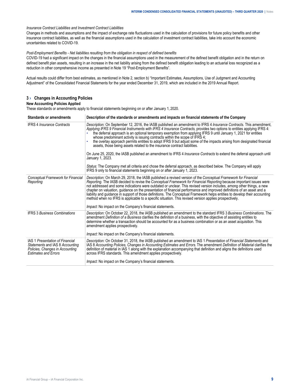#### <span id="page-10-0"></span>*Insurance Contract Liabilities and Investment Contract Liabilities*

Changes in methods and assumptions and the impact of exchange rate fluctuations used in the calculation of provisions for future policy benefits and other insurance contract liabilities, as well as the financial assumptions used in the calculation of investment contract liabilities, take into account the economic uncertainties related to COVID-19.

*Post-Employment Benefits - Net liabilities resulting from the obligation in respect of defined benefits*

COVID-19 had a significant impact on the changes in the financial assumptions used in the measurement of the defined benefit obligation and in the return on defined benefit plan assets, resulting in an increase in the net liability arising from the defined benefit obligation leading to an actuarial loss recognized as a reduction in other comprehensive income as presented in Note 19 "Post-Employment Benefits".

Actual results could differ from best estimates, as mentioned in Note 2, section b) "Important Estimates, Assumptions, Use of Judgment and Accounting Adjustment" of the Consolidated Financial Statements for the year ended December 31, 2019, which are included in the 2019 Annual Report.

# **3 › Changes in Accounting Policies**

#### **New Accounting Policies Applied**

These standards or amendments apply to financial statements beginning on or after January 1, 2020.

| <b>Standards or amendments</b>                                                                                                       | Description of the standards or amendments and impacts on financial statements of the Company                                                                                                                                                                                                                                                                                                                                                                                                                                                                                                                                                                                                                                                                                                         |
|--------------------------------------------------------------------------------------------------------------------------------------|-------------------------------------------------------------------------------------------------------------------------------------------------------------------------------------------------------------------------------------------------------------------------------------------------------------------------------------------------------------------------------------------------------------------------------------------------------------------------------------------------------------------------------------------------------------------------------------------------------------------------------------------------------------------------------------------------------------------------------------------------------------------------------------------------------|
| <b>IFRS 4 Insurance Contracts</b>                                                                                                    | Description: On September 12, 2016, the IASB published an amendment to IFRS 4 Insurance Contracts. This amendment,<br>Applying IFRS 9 Financial Instruments with IFRS 4 Insurance Contracts, provides two options to entities applying IFRS 4:<br>the deferral approach is an optional temporary exemption from applying IFRS 9 until January 1, 2021 for entities<br>whose predominant activity is issuing contracts within the scope of IFRS 4;<br>the overlay approach permits entities to adopt IFRS 9 but adjust some of the impacts arising from designated financial<br>assets, those being assets related to the insurance contract liabilities.<br>On June 25, 2020, the IASB published an amendment to IFRS 4 <i>Insurance Contracts</i> to extend the deferral approach until              |
|                                                                                                                                      | January 1, 2023.                                                                                                                                                                                                                                                                                                                                                                                                                                                                                                                                                                                                                                                                                                                                                                                      |
|                                                                                                                                      | Status: The Company met all criteria and chose the deferral approach, as described below. The Company will apply<br>IFRS 9 only to financial statements beginning on or after January 1, 2023.                                                                                                                                                                                                                                                                                                                                                                                                                                                                                                                                                                                                        |
| <b>Conceptual Framework for Financial</b><br>Reporting                                                                               | Description: On March 29, 2018, the IASB published a revised version of the Conceptual Framework for Financial<br>Reporting. The IASB decided to revise the Conceptual Framework for Financial Reporting because important issues were<br>not addressed and some indications were outdated or unclear. This revised version includes, among other things, a new<br>chapter on valuation, quidance on the presentation of financial performance and improved definitions of an asset and a<br>liability and guidance in support of those definitions. The Conceptual Framework helps entities to develop their accounting<br>method when no IFRS is applicable to a specific situation. This revised version applies prospectively.<br><i>Impact:</i> No impact on the Company's financial statements. |
| <b>IFRS 3 Business Combinations</b>                                                                                                  | Description: On October 22, 2018, the IASB published an amendment to the standard IFRS 3 Business Combinations. The<br>amendment Definition of a Business clarifies the definition of a business, with the objective of assisting entities to<br>determine whether a transaction should be accounted for as a business combination or as an asset acquisition. This<br>amendment applies prospectively.<br><i>Impact:</i> No impact on the Company's financial statements.                                                                                                                                                                                                                                                                                                                            |
|                                                                                                                                      |                                                                                                                                                                                                                                                                                                                                                                                                                                                                                                                                                                                                                                                                                                                                                                                                       |
| IAS 1 Presentation of Financial<br>Statements and IAS 8 Accounting<br>Policies, Changes in Accounting<br><b>Estimates and Errors</b> | Description: On October 31, 2018, the IASB published an amendment to IAS 1 Presentation of Financial Statements and<br>IAS 8 Accounting Policies, Changes in Accounting Estimates and Errors. The amendment Definition of Material clarifies the<br>definition of material in IAS 1 along with the explanation accompanying that definition and aligns the definitions used<br>across IFRS standards. This amendment applies prospectively.                                                                                                                                                                                                                                                                                                                                                           |
|                                                                                                                                      | Impact: No impact on the Company's financial statements.                                                                                                                                                                                                                                                                                                                                                                                                                                                                                                                                                                                                                                                                                                                                              |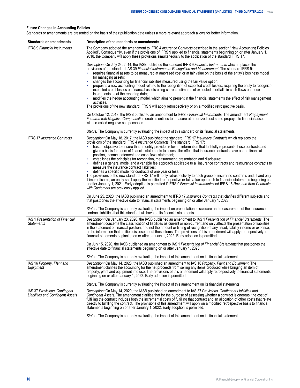# **Future Changes in Accounting Policies**

Standards or amendments are presented on the basis of their publication date unless a more relevant approach allows for better information.

| <b>Standards or amendments</b>                                            | Description of the standards or amendments                                                                                                                                                                                                                                                                                                                                                                                                                                                                                                                                                                           |
|---------------------------------------------------------------------------|----------------------------------------------------------------------------------------------------------------------------------------------------------------------------------------------------------------------------------------------------------------------------------------------------------------------------------------------------------------------------------------------------------------------------------------------------------------------------------------------------------------------------------------------------------------------------------------------------------------------|
| <b>IFRS 9 Financial Instruments</b>                                       | The Company adopted the amendment to IFRS 4 Insurance Contracts described in the section "New Accounting Policies<br>Applied". Consequently, even if the provisions of IFRS 9 applied to financial statements beginning on or after January 1,<br>2018, the Company will apply these provisions simultaneously to the application of the standard IFRS 17.                                                                                                                                                                                                                                                           |
|                                                                           | Description: On July 24, 2014, the IASB published the standard IFRS 9 Financial Instruments which replaces the<br>provisions of the standard IAS 39 Financial Instruments: Recognition and Measurement. The standard IFRS 9:<br>requires financial assets to be measured at amortized cost or at fair value on the basis of the entity's business model<br>for managing assets;                                                                                                                                                                                                                                      |
|                                                                           | changes the accounting for financial liabilities measured using the fair value option;<br>proposes a new accounting model related to the recognition of expected credit losses, requiring the entity to recognize<br>expected credit losses on financial assets using current estimates of expected shortfalls in cash flows on those<br>instruments as at the reporting date;<br>modifies the hedge accounting model, which aims to present in the financial statements the effect of risk management                                                                                                               |
|                                                                           | activities.<br>The provisions of the new standard IFRS 9 will apply retrospectively or on a modified retrospective basis.                                                                                                                                                                                                                                                                                                                                                                                                                                                                                            |
|                                                                           | On October 12, 2017, the IASB published an amendment to IFRS 9 Financial Instruments. The amendment Prepayment<br>Features with Negative Compensation enables entities to measure at amortized cost some prepayable financial assets<br>with so-called negative compensation.                                                                                                                                                                                                                                                                                                                                        |
|                                                                           | Status: The Company is currently evaluating the impact of this standard on its financial statements.                                                                                                                                                                                                                                                                                                                                                                                                                                                                                                                 |
| <b>IFRS 17 Insurance Contracts</b>                                        | Description: On May 18, 2017, the IASB published the standard IFRS 17 Insurance Contracts which replaces the<br>provisions of the standard IFRS 4 Insurance Contracts. The standard IFRS 17:<br>has an objective to ensure that an entity provides relevant information that faithfully represents those contracts and<br>gives a basis for users of financial statements to assess the effect that insurance contracts have on the financial<br>position, income statement and cash flows statement;                                                                                                                |
|                                                                           | establishes the principles for recognition, measurement, presentation and disclosure;<br>defines a general model and a variable fee approach applicable to all insurance contracts and reinsurance contracts to<br>measure the insurance contract liabilities:<br>defines a specific model for contracts of one year or less.                                                                                                                                                                                                                                                                                        |
|                                                                           | The provisions of the new standard IFRS 17 will apply retrospectively to each group of insurance contracts and, if and only<br>if impracticable, an entity shall apply the modified retrospective or fair value approach to financial statements beginning on<br>or after January 1, 2021. Early adoption is permitted if IFRS 9 Financial Instruments and IFRS 15 Revenue from Contracts<br>with Customers are previously applied.                                                                                                                                                                                  |
|                                                                           | On June 25, 2020, the IASB published an amendment to IFRS 17 Insurance Contracts that clarifies different subjects and<br>that postpones the effective date to financial statements beginning on or after January 1, 2023.                                                                                                                                                                                                                                                                                                                                                                                           |
|                                                                           | Status: The Company is currently evaluating the impact on presentation, disclosure and measurement of the insurance<br>contract liabilities that this standard will have on its financial statements.                                                                                                                                                                                                                                                                                                                                                                                                                |
| IAS 1 Presentation of Financial<br><b>Statements</b>                      | Description: On January 23, 2020, the IASB published an amendment to IAS 1 Presentation of Financial Statements. The<br>amendment concerns the classification of liabilities as current or non-current and only affects the presentation of liabilities<br>in the statement of financial position, and not the amount or timing of recognition of any asset, liability income or expense,<br>or the information that entities disclose about those items. The provisions of this amendment will apply retrospectively to<br>financial statements beginning on or after January 1, 2022. Early adoption is permitted. |
|                                                                           | On July 15, 2020, the IASB published an amendment to IAS 1 Presentation of Financial Statements that postpones the<br>effective date to financial statements beginning on or after January 1, 2023.                                                                                                                                                                                                                                                                                                                                                                                                                  |
|                                                                           | Status: The Company is currently evaluating the impact of this amendment on its financial statements.                                                                                                                                                                                                                                                                                                                                                                                                                                                                                                                |
| IAS 16 Property, Plant and<br>Equipment                                   | Description: On May 14, 2020, the IASB published an amendment to IAS 16 Property, Plant and Equipment. The<br>amendment clarifies the accounting for the net proceeds from selling any items produced while bringing an item of<br>property, plant and equipment into use. The provisions of this amendment will apply retrospectively to financial statements<br>beginning on or after January 1, 2022. Early adoption is permitted.                                                                                                                                                                                |
|                                                                           | Status: The Company is currently evaluating the impact of this amendment on its financial statements.                                                                                                                                                                                                                                                                                                                                                                                                                                                                                                                |
| IAS 37 Provisions, Contingent<br><b>Liabilities and Contingent Assets</b> | Description: On May 14, 2020, the IASB published an amendment to IAS 37 Provisions, Contingent Liabilities and<br>Contingent Assets. The amendment clarifies that for the purpose of assessing whether a contract is onerous, the cost of<br>fulfilling the contract includes both the incremental costs of fulfilling that contract and an allocation of other costs that relate<br>directly to fulfilling the contract. The provisions of this amendment will apply on a modified retrospective basis to financial<br>statements beginning on or after January 1, 2022. Early adoption is permitted.               |
|                                                                           | Status: The Company is currently evaluating the impact of this amendment on its financial statements.                                                                                                                                                                                                                                                                                                                                                                                                                                                                                                                |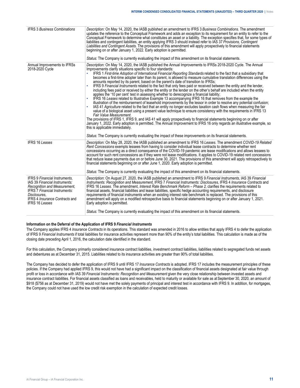| <b>IFRS 3 Business Combinations</b>                                                                                                                                                     | Description: On May 14, 2020, the IASB published an amendment to IFRS 3 Business Combinations. The amendment<br>updates the reference to the Conceptual Framework and adds an exception to its requirement for an entity to refer to the<br>Conceptual Framework to determine what constitutes an asset or a liability. The exception specifies that, for some types of<br>liabilities and contingent liabilities, an entity applying IFRS 3 should instead refer to IAS 37 Provisions, Contingent<br>Liabilities and Contingent Assets. The provisions of this amendment will apply prospectively to financial statements<br>beginning on or after January 1, 2022. Early adoption is permitted.<br>Status: The Company is currently evaluating the impact of this amendment on its financial statements.                                                                                                                                                                                                                                                                                                                                                                                                                                                                                                                                                                                                                                                                                                                                                                                                                                                         |
|-----------------------------------------------------------------------------------------------------------------------------------------------------------------------------------------|--------------------------------------------------------------------------------------------------------------------------------------------------------------------------------------------------------------------------------------------------------------------------------------------------------------------------------------------------------------------------------------------------------------------------------------------------------------------------------------------------------------------------------------------------------------------------------------------------------------------------------------------------------------------------------------------------------------------------------------------------------------------------------------------------------------------------------------------------------------------------------------------------------------------------------------------------------------------------------------------------------------------------------------------------------------------------------------------------------------------------------------------------------------------------------------------------------------------------------------------------------------------------------------------------------------------------------------------------------------------------------------------------------------------------------------------------------------------------------------------------------------------------------------------------------------------------------------------------------------------------------------------------------------------|
| Annual Improvements to IFRSs                                                                                                                                                            | Description: On May 14, 2020, the IASB published the Annual Improvements to IFRSs 2018-2020 Cycle. The Annual                                                                                                                                                                                                                                                                                                                                                                                                                                                                                                                                                                                                                                                                                                                                                                                                                                                                                                                                                                                                                                                                                                                                                                                                                                                                                                                                                                                                                                                                                                                                                      |
| 2018-2020 Cycle                                                                                                                                                                         | Improvements clarify situations specific to four standards:<br>IFRS 1 First-time Adoption of International Financial Reporting Standards related to the fact that a subsidiary that<br>becomes a first-time adopter later than its parent, is allowed to measure cumulative translation differences using the<br>amounts reported by its parent, based on the parent's date of transition to IFRSs;<br>IFRS 9 Financial Instruments related to the fact that only fees paid or received between the entity and the lender,<br>including fees paid or received by either the entity or the lender on the other's behalf are included when the entity<br>applies the '10 per cent' test in assessing whether to derecognize a financial liability;<br>IFRS 16 Leases related to Illustrative Example 13 accompanying IFRS 16 that removes from the example the<br>illustration of the reimbursement of leasehold improvements by the lessor in order to resolve any potential confusion;<br>IAS 41 Agriculture related to the fact that an entity no longer excludes taxation cash flows when measuring the fair<br>value of a biological asset using a present value technique to ensure consistency with the requirements in IFRS 13<br>Fair Value Measurement.<br>The provisions of IFRS 1, IFRS 9, and IAS 41 will apply prospectively to financial statements beginning on or after<br>January 1, 2022. Early adoption is permitted. The Annual Improvement to IFRS 16 only regards an illustrative example, so<br>this is applicable immediately.<br>Status: The Company is currently evaluating the impact of these improvements on its financial statements. |
| <b>IFRS 16 Leases</b>                                                                                                                                                                   | Description: On May 28, 2020, the IASB published an amendment to IFRS 16 Leases. The amendment COVID-19 Related                                                                                                                                                                                                                                                                                                                                                                                                                                                                                                                                                                                                                                                                                                                                                                                                                                                                                                                                                                                                                                                                                                                                                                                                                                                                                                                                                                                                                                                                                                                                                    |
|                                                                                                                                                                                         | Rent Concessions exempts lessees from having to consider individual lease contracts to determine whether rent<br>concessions occurring as a direct consequence of the COVID-19 pandemic are lease modifications and allows lessees to<br>account for such rent concessions as if they were not lease modifications. It applies to COVID-19 related rent concessions<br>that reduce lease payments due on or before June 30, 2021. The provisions of this amendment will apply retrospectively to<br>financial statements beginning on or after June 1, 2020. Early adoption is permitted.<br>Status: The Company is currently evaluating the impact of this amendment on its financial statements.                                                                                                                                                                                                                                                                                                                                                                                                                                                                                                                                                                                                                                                                                                                                                                                                                                                                                                                                                                 |
| <b>IFRS 9 Financial Instruments.</b>                                                                                                                                                    | Description: On August 27, 2020, the IASB published an amendment to IFRS 9 Financial Instruments, IAS 39 Financial                                                                                                                                                                                                                                                                                                                                                                                                                                                                                                                                                                                                                                                                                                                                                                                                                                                                                                                                                                                                                                                                                                                                                                                                                                                                                                                                                                                                                                                                                                                                                 |
| IAS 39 Financial Instruments:<br>Recognition and Measurement,<br><b>IFRS</b> 7 Financial Instruments:<br>Disclosures.<br><b>IFRS 4 Insurance Contracts and</b><br><b>IFRS 16 Leases</b> | Instruments: Recognition and Measurement, IFRS 7 Financial Instruments: Disclosures, IFRS 4 Insurance Contracts and<br>IFRS 16 Leases. The amendment, Interest Rate Benchmark Reform - Phase 2, clarifies the requirements related to<br>financial assets, financial liabilities and lease liabilities, specific hedge accounting requirements, and disclosure<br>requirements of financial instruments when an existing interest rate benchmark is replaced. The provisions of this<br>amendment will apply on a modified retrospective basis to financial statements beginning on or after January 1, 2021.<br>Early adoption is permitted.                                                                                                                                                                                                                                                                                                                                                                                                                                                                                                                                                                                                                                                                                                                                                                                                                                                                                                                                                                                                                      |
|                                                                                                                                                                                         | Status: The Company is currently evaluating the impact of this amendment on its financial statements.                                                                                                                                                                                                                                                                                                                                                                                                                                                                                                                                                                                                                                                                                                                                                                                                                                                                                                                                                                                                                                                                                                                                                                                                                                                                                                                                                                                                                                                                                                                                                              |

#### **Information on the Deferral of the Application of IFRS 9** *Financial Instruments*

The Company applies IFRS 4 *Insurance Contracts* in its operations. This standard was amended in 2016 to allow entities that apply IFRS 4 to defer the application of IFRS 9 *Financial Instruments* if total liabilities for insurance activities represent more than 90% of the entity's total liabilities. This calculation is made as of the closing date preceding April 1, 2016, the calculation date identified in the standard.

For this calculation, the Company primarily considered insurance contract liabilities, investment contract liabilities, liabilities related to segregated funds net assets and debentures as at December 31, 2015. Liabilities related to its insurance activities are greater than 90% of total liabilities.

The Company has decided to defer the application of IFRS 9 until IFRS 17 *Insurance Contracts* is adopted. IFRS 17 includes the measurement principles of these policies. If the Company had applied IFRS 9, this would not have had a significant impact on the classification of financial assets designated at fair value through profit or loss in accordance with IAS 39 *Financial Instruments: Recognition and Measurement* given the very close relationship between invested assets and insurance contract liabilities. For financial assets classified as loans and receivables, held to maturity or available for sale as at September 30, 2020, an amount of \$918 (\$756 as at December 31, 2019) would not have met the solely payments of principal and interest test in accordance with IFRS 9. In addition, for mortgages, the Company could not have used the low credit risk exemption in the calculation of expected credit losses.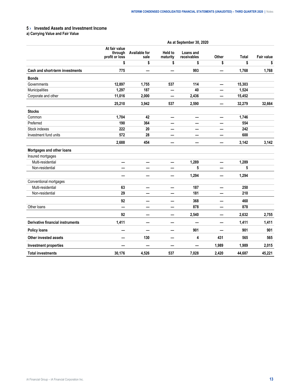# <span id="page-14-0"></span>**5 › Invested Assets and Investment Income**

**a) Carrying Value and Fair Value**

|                                         | As at September 30, 2020                   |                              |                            |                          |       |        |                   |  |
|-----------------------------------------|--------------------------------------------|------------------------------|----------------------------|--------------------------|-------|--------|-------------------|--|
|                                         | At fair value<br>through<br>profit or loss | <b>Available for</b><br>sale | <b>Held to</b><br>maturity | Loans and<br>receivables | Other | Total  | <b>Fair value</b> |  |
|                                         | \$                                         | \$                           | \$                         | \$                       | \$    | \$     | \$                |  |
| Cash and short-term investments         | 775                                        |                              |                            | 993                      | —     | 1,768  | 1,768             |  |
| <b>Bonds</b>                            |                                            |                              |                            |                          |       |        |                   |  |
| Governments                             | 12,897                                     | 1,755                        | 537                        | 114                      | —     | 15,303 |                   |  |
| Municipalities                          | 1,297                                      | 187                          | —                          | 40                       | —     | 1,524  |                   |  |
| Corporate and other                     | 11,016                                     | 2,000                        | —                          | 2,436                    |       | 15,452 |                   |  |
|                                         | 25,210                                     | 3,942                        | 537                        | 2,590                    |       | 32,279 | 32,664            |  |
| <b>Stocks</b>                           |                                            |                              |                            |                          |       |        |                   |  |
| Common                                  | 1,704                                      | 42                           |                            |                          |       | 1,746  |                   |  |
| Preferred                               | 190                                        | 364                          |                            |                          |       | 554    |                   |  |
| Stock indexes                           | 222                                        | 20                           |                            |                          |       | 242    |                   |  |
| Investment fund units                   | 572                                        | 28                           |                            | —                        |       | 600    |                   |  |
|                                         | 2,688                                      | 454                          |                            |                          |       | 3,142  | 3,142             |  |
| Mortgages and other loans               |                                            |                              |                            |                          |       |        |                   |  |
| Insured mortgages                       |                                            |                              |                            |                          |       |        |                   |  |
| Multi-residential                       | —                                          | —                            | —                          | 1,289                    | —     | 1,289  |                   |  |
| Non-residential                         |                                            |                              |                            | 5                        |       | 5      |                   |  |
|                                         | —                                          | —                            | —                          | 1,294                    | —     | 1,294  |                   |  |
| Conventional mortgages                  |                                            |                              |                            |                          |       |        |                   |  |
| Multi-residential                       | 63                                         | —                            | $\overline{\phantom{0}}$   | 187                      | —     | 250    |                   |  |
| Non-residential                         | 29                                         | —                            | —                          | 181                      | —     | 210    |                   |  |
|                                         | 92                                         |                              |                            | 368                      |       | 460    |                   |  |
| Other loans                             | a.                                         | -                            |                            | 878                      |       | 878    |                   |  |
|                                         | 92                                         | –                            | –                          | 2,540                    |       | 2,632  | 2,755             |  |
| <b>Derivative financial instruments</b> | 1,411                                      | —                            | –                          | $\overline{\phantom{0}}$ | —     | 1,411  | 1,411             |  |
| <b>Policy loans</b>                     |                                            |                              | —<br>——                    | 901                      |       | 901    | 901               |  |
| <b>Other invested assets</b>            |                                            | 130                          |                            | 4                        | 431   | 565    | 565               |  |
| <b>Investment properties</b>            |                                            |                              | –                          |                          | 1,989 | 1,989  | 2,015             |  |
| <b>Total investments</b>                | 30,176                                     | 4,526                        | 537                        | 7,028                    | 2,420 | 44,687 | 45,221            |  |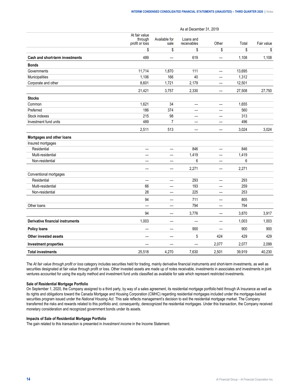As at December 31, 2019

|                                         | At fair value<br>through<br>profit or loss | Available for<br>sale          | Loans and<br>receivables | Other                          | Total  | Fair value |
|-----------------------------------------|--------------------------------------------|--------------------------------|--------------------------|--------------------------------|--------|------------|
|                                         | \$                                         | \$                             | \$                       | \$                             | \$     | \$         |
| <b>Cash and short-term investments</b>  | 489                                        |                                | 619                      |                                | 1,108  | 1,108      |
| <b>Bonds</b>                            |                                            |                                |                          |                                |        |            |
| Governments                             | 11,714                                     | 1,870                          | 111                      | —                              | 13,695 |            |
| Municipalities                          | 1,106                                      | 166                            | 40                       | $\overline{\phantom{0}}$       | 1,312  |            |
| Corporate and other                     | 8,601                                      | 1,721                          | 2,179                    | $\qquad \qquad \longleftarrow$ | 12,501 |            |
|                                         | 21,421                                     | 3,757                          | 2,330                    |                                | 27,508 | 27,750     |
| <b>Stocks</b>                           |                                            |                                |                          |                                |        |            |
| Common                                  | 1,621                                      | 34                             |                          | —                              | 1,655  |            |
| Preferred                               | 186                                        | 374                            | $\overline{\phantom{0}}$ | —                              | 560    |            |
| Stock indexes                           | 215                                        | 98                             | $\qquad \qquad$          | —                              | 313    |            |
| Investment fund units                   | 489                                        | $\overline{7}$                 | $\qquad \qquad$          |                                | 496    |            |
|                                         | 2,511                                      | 513                            |                          |                                | 3,024  | 3,024      |
| Mortgages and other loans               |                                            |                                |                          |                                |        |            |
| Insured mortgages                       |                                            |                                |                          |                                |        |            |
| Residential                             | $\overline{\phantom{0}}$                   | —                              | 846                      | —                              | 846    |            |
| Multi-residential                       | —                                          | —                              | 1,419                    | —                              | 1,419  |            |
| Non-residential                         | —<br>—                                     | —                              | 6                        | —                              | 6      |            |
|                                         | $\overline{\phantom{0}}$                   | $\overline{\phantom{0}}$       | 2,271                    | —                              | 2,271  |            |
| Conventional mortgages                  |                                            |                                |                          |                                |        |            |
| Residential                             | $\overline{\phantom{0}}$                   | —                              | 293                      | —                              | 293    |            |
| Multi-residential                       | 66                                         | $\overline{\phantom{0}}$       | 193                      | $\overline{\phantom{0}}$       | 259    |            |
| Non-residential                         | 28                                         | $\overline{\phantom{0}}$       | 225                      |                                | 253    |            |
|                                         | 94                                         | —                              | 711                      | —                              | 805    |            |
| Other loans                             | <u>—</u>                                   | $\overline{\phantom{0}}$       | 794                      |                                | 794    |            |
|                                         | 94                                         | $\overline{\phantom{0}}$       | 3,776                    | —                              | 3,870  | 3,917      |
| <b>Derivative financial instruments</b> | 1,003                                      | —                              |                          | —                              | 1,003  | 1,003      |
| <b>Policy loans</b>                     |                                            |                                | 900                      | $\overline{\phantom{0}}$       | 900    | 900        |
| <b>Other invested assets</b>            | $\qquad \qquad$                            | $\qquad \qquad \longleftarrow$ | 5                        | 424                            | 429    | 429        |
| <b>Investment properties</b>            |                                            |                                |                          | 2,077                          | 2,077  | 2,099      |
| <b>Total investments</b>                | 25,518                                     | 4,270                          | 7,630                    | 2,501                          | 39,919 | 40,230     |

The *At fair value through profit or loss* category includes securities held for trading, mainly derivative financial instruments and short-term investments, as well as securities designated at fair value through profit or loss. Other invested assets are made up of notes receivable, investments in associates and investments in joint ventures accounted for using the equity method and investment fund units classified as available for sale which represent restricted investments.

#### **Sale of Residential Mortgage Portfolio**

On September 1, 2020, the Company assigned to a third party, by way of a sales agreement, its residential mortgage portfolio held through iA Insurance as well as its rights and obligations toward the Canada Mortgage and Housing Corporation (CMHC) regarding residential mortgages included under the mortgage-backed securities program issued under the *National Housing Act*. This sale reflects management's decision to exit the residential mortgage market. The Company transferred the risks and rewards related to this portfolio and, consequently, derecognized the residential mortgages. Under this transaction, the Company received monetary consideration and recognized government bonds under its assets.

#### **Impacts of Sale of Residential Mortgage Portfolio**

The gain related to this transaction is presented in *Investment income* in the Income Statement.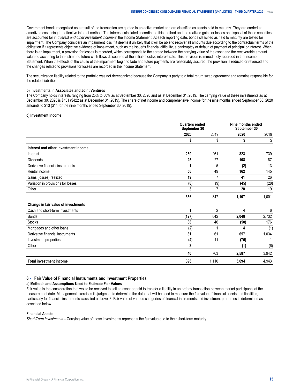<span id="page-16-0"></span>Government bonds recognized as a result of the transaction are quoted in an active market and are classified as assets held to maturity. They are carried at amortized cost using the effective interest method. The interest calculated according to this method and the realized gains or losses on disposal of these securities are accounted for in *Interest and other investment income* in the Income Statement. At each reporting date, bonds classified as held to maturity are tested for impairment. The Company considers an impairment loss if it deems it unlikely that it will be able to recover all amounts due according to the contractual terms of the obligation if it represents objective evidence of impairment, such as the issuer's financial difficulty, a bankruptcy or default of payment of principal or interest. When there is an impairment, a provision for losses is recorded, which corresponds to the spread between the carrying value of the asset and the recoverable amount valuated according to the estimated future cash flows discounted at the initial effective interest rate. This provision is immediately recorded in the Income Statement. When the effects of the cause of the impairment begin to fade and future payments are reasonably assured, the provision is reduced or reversed and the changes related to provisions for losses are recorded in the Income Statement.

The securitization liability related to the portfolio was not derecognized because the Company is party to a total return swap agreement and remains responsible for the related liabilities.

#### **b) Investments in Associates and Joint Ventures**

The Company holds interests ranging from 25% to 50% as at September 30, 2020 and as at December 31, 2019. The carrying value of these investments as at September 30, 2020 is \$431 (\$422 as at December 31, 2019). The share of net income and comprehensive income for the nine months ended September 30, 2020 amounts to \$13 (\$14 for the nine months ended September 30, 2019).

#### **c) Investment Income**

|                                      | <b>Quarters ended</b><br>September 30 |                | Nine months ended<br>September 30 |       |  |
|--------------------------------------|---------------------------------------|----------------|-----------------------------------|-------|--|
|                                      | 2020                                  | 2019           | 2020                              | 2019  |  |
|                                      | S                                     | \$             | \$                                | \$    |  |
| Interest and other investment income |                                       |                |                                   |       |  |
| Interest                             | 260                                   | 261            | 823                               | 739   |  |
| <b>Dividends</b>                     | 25                                    | 27             | 108                               | 87    |  |
| Derivative financial instruments     |                                       | 5              | (2)                               | 13    |  |
| Rental income                        | 56                                    | 49             | 162                               | 145   |  |
| Gains (losses) realized              | 19                                    | 7              | 41                                | 26    |  |
| Variation in provisions for losses   | (8)                                   | (9)            | (45)                              | (28)  |  |
| Other                                | 3                                     | 7              | 20                                | 19    |  |
|                                      | 356                                   | 347            | 1,107                             | 1,001 |  |
| Change in fair value of investments  |                                       |                |                                   |       |  |
| Cash and short-term investments      | 1                                     | $\overline{2}$ | 4                                 | 6     |  |
| <b>Bonds</b>                         | (127)                                 | 642            | 2,048                             | 2,732 |  |
| <b>Stocks</b>                        | 88                                    | 46             | (50)                              | 176   |  |
| Mortgages and other loans            | (2)                                   |                | Δ                                 | (1)   |  |
| Derivative financial instruments     | 81                                    | 61             | 657                               | 1,034 |  |
| Investment properties                | (4)                                   | 11             | (75)                              |       |  |
| Other                                | 3                                     |                | (1)                               | (6)   |  |
|                                      | 40                                    | 763            | 2,587                             | 3,942 |  |
| <b>Total investment income</b>       | 396                                   | 1,110          | 3,694                             | 4,943 |  |

#### **6 › Fair Value of Financial Instruments and Investment Properties**

#### **a) Methods and Assumptions Used to Estimate Fair Values**

Fair value is the consideration that would be received to sell an asset or paid to transfer a liability in an orderly transaction between market participants at the measurement date. Management exercises its judgment to determine the data that will be used to measure the fair value of financial assets and liabilities, particularly for financial instruments classified as Level 3. Fair value of various categories of financial instruments and investment properties is determined as described below.

#### **Financial Assets**

*Short-Term Investments –* Carrying value of these investments represents the fair value due to their short-term maturity.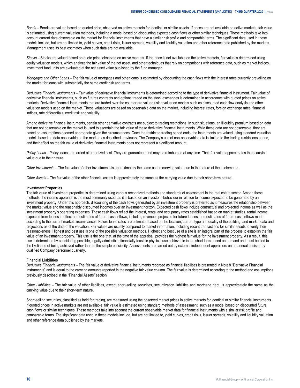*Bonds –* Bonds are valued based on quoted price, observed on active markets for identical or similar assets. If prices are not available on active markets, fair value is estimated using current valuation methods, including a model based on discounting expected cash flows or other similar techniques. These methods take into account current data observable on the market for financial instruments that have a similar risk profile and comparable terms. The significant data used in these models include, but are not limited to, yield curves, credit risks, issuer spreads, volatility and liquidity valuation and other reference data published by the markets. Management uses its best estimates when such data are not available.

*Stocks –* Stocks are valued based on quote price, observed on active markets. If the price is not available on the active markets, fair value is determined using equity valuation models, which analyze the fair value of the net asset, and other techniques that rely on comparisons with reference data, such as market indices. Investment fund units are evaluated at the net asset value published by the fund manager.

*Mortgages and Other Loans –* The fair value of mortgages and other loans is estimated by discounting the cash flows with the interest rates currently prevailing on the market for loans with substantially the same credit risk and terms.

*Derivative Financial Instruments* – Fair value of derivative financial instruments is determined according to the type of derivative financial instrument. Fair value of derivative financial instruments, such as futures contracts and options traded on the stock exchanges is determined in accordance with quoted prices on active markets. Derivative financial instruments that are traded over the counter are valued using valuation models such as discounted cash flow analysis and other valuation models used on the market. These valuations are based on observable data on the market, including interest rates, foreign exchange rates, financial indices, rate differentials, credit risk and volatility.

Among derivative financial instruments, certain other derivative contracts are subject to trading restrictions. In such situations, an illiquidity premium based on data that are not observable on the market is used to ascertain the fair value of these derivative financial instruments. While these data are not observable, they are based on assumptions deemed appropriate given the circumstances. Once the restricted trading period ends, the instruments are valued using standard valuation models based on data observable on the market, as described previously. The Company's use of non-observable data is limited to the trading restrictions period, and their effect on the fair value of derivative financial instruments does not represent a significant amount.

*Policy Loans* – Policy loans are carried at amortized cost. They are guaranteed and may be reimbursed at any time. Their fair value approximates their carrying value due to their nature.

*Other Investments –* The fair value of other investments is approximately the same as the carrying value due to the nature of these elements.

*Other Assets –* The fair value of the other financial assets is approximately the same as the carrying value due to their short-term nature.

#### **Investment Properties**

The fair value of investment properties is determined using various recognized methods and standards of assessment in the real estate sector. Among these methods, the income approach is the most commonly used, as it is based on an investor's behaviour in relation to income expected to be generated by an investment property. Under this approach, discounting of the cash flows generated by an investment property is preferred as it measures the relationship between the market value and the reasonably discounted incomes over an investment horizon. Expected cash flows include contractual and projected income as well as the investment property's operating expenses. These cash flows reflect the interest, rental and occupancy rates established based on market studies, rental income expected from leases in effect and estimates of future cash inflows, including revenues projected for future leases, and estimates of future cash inflows made according to the current market circumstances. Future lease rates are estimated based on the location, current type and quality of the building, and market data and projections as of the date of the valuation. Fair values are usually compared to market information, including recent transactions for similar assets to verify their reasonableness. Highest and best use is one of the possible valuation methods. Highest and best use of a site is an integral part of the process to establish the fair value of an investment property. This use is the one that, at the time of the appraisal, provides the highest fair value for the investment property. As a result, this use is determined by considering possible, legally admissible, financially feasible physical use achievable in the short term based on demand and must be tied to the likelihood of being achieved rather than to the simple possibility. Assessments are carried out by external independent appraisers on an annual basis or by qualified Company personnel quarterly.

#### **Financial Liabilities**

*Derivative Financial Instruments –* The fair value of derivative financial instruments recorded as financial liabilities is presented in Note 8 "Derivative Financial Instruments" and is equal to the carrying amounts reported in the negative fair value column. The fair value is determined according to the method and assumptions previously described in the "Financial Assets" section.

*Other Liabilities –* The fair value of other liabilities, except short-selling securities, securitization liabilities and mortgage debt, is approximately the same as the carrying value due to their short-term nature.

Short-selling securities, classified as held for trading, are measured using the observed market prices in active markets for identical or similar financial instruments. If quoted prices in active markets are not available, fair value is estimated using standard methods of assessment, such as a model based on discounted future cash flows or similar techniques. These methods take into account the current observable market data for financial instruments with a similar risk profile and comparable terms. The significant data used in these models include, but are not limited to, yield curves, credit risks, issuer spreads, volatility and liquidity valuation and other reference data published by the markets.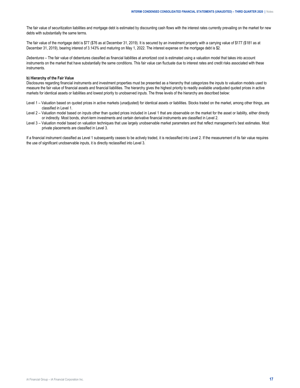The fair value of securitization liabilities and mortgage debt is estimated by discounting cash flows with the interest rates currently prevailing on the market for new debts with substantially the same terms.

The fair value of the mortgage debt is \$77 (\$76 as at December 31, 2019). It is secured by an investment property with a carrying value of \$177 (\$181 as at December 31, 2019), bearing interest of 3.143% and maturing on May 1, 2022. The interest expense on the mortgage debt is \$2.

*Debentures –* The fair value of debentures classified as financial liabilities at amortized cost is estimated using a valuation model that takes into account instruments on the market that have substantially the same conditions. This fair value can fluctuate due to interest rates and credit risks associated with these instruments.

#### **b) Hierarchy of the Fair Value**

Disclosures regarding financial instruments and investment properties must be presented as a hierarchy that categorizes the inputs to valuation models used to measure the fair value of financial assets and financial liabilities. The hierarchy gives the highest priority to readily available unadjusted quoted prices in active markets for identical assets or liabilities and lowest priority to unobserved inputs. The three levels of the hierarchy are described below:

- Level 1 Valuation based on quoted prices in active markets (unadjusted) for identical assets or liabilities. Stocks traded on the market, among other things, are classified in Level 1.
- Level 2 Valuation model based on inputs other than quoted prices included in Level 1 that are observable on the market for the asset or liability, either directly or indirectly. Most bonds, short-term investments and certain derivative financial instruments are classified in Level 2.
- Level 3 Valuation model based on valuation techniques that use largely unobservable market parameters and that reflect management's best estimates. Most private placements are classified in Level 3.

If a financial instrument classified as Level 1 subsequently ceases to be actively traded, it is reclassified into Level 2. If the measurement of its fair value requires the use of significant unobservable inputs, it is directly reclassified into Level 3.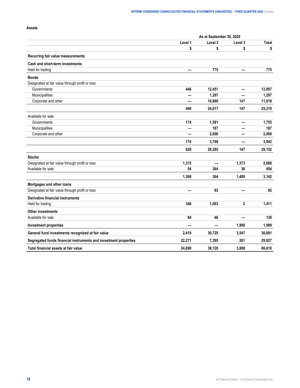## **Assets**

|                                                                  | As at September 30, 2020 |          |              |        |  |
|------------------------------------------------------------------|--------------------------|----------|--------------|--------|--|
|                                                                  | Level 1                  | Level 2  | Level 3      | Total  |  |
|                                                                  | \$                       | \$       | \$           | \$     |  |
| Recurring fair value measurements                                |                          |          |              |        |  |
| Cash and short-term investments                                  |                          |          |              |        |  |
| Held for trading                                                 | $\overline{\phantom{0}}$ | 775      |              | 775    |  |
| <b>Bonds</b>                                                     |                          |          |              |        |  |
| Designated at fair value through profit or loss                  |                          |          |              |        |  |
| Governments                                                      | 446                      | 12,451   | —            | 12,897 |  |
| Municipalities                                                   |                          | 1,297    |              | 1,297  |  |
| Corporate and other                                              |                          | 10,869   | 147          | 11,016 |  |
|                                                                  | 446                      | 24,617   | 147          | 25,210 |  |
| Available for sale                                               |                          |          |              |        |  |
| Governments                                                      | 174                      | 1,581    | —            | 1,755  |  |
| Municipalities                                                   | —                        | 187      |              | 187    |  |
| Corporate and other                                              |                          | 2,000    |              | 2,000  |  |
|                                                                  | 174                      | 3,768    | —            | 3,942  |  |
|                                                                  | 620                      | 28,385   | 147          | 29,152 |  |
| <b>Stocks</b>                                                    |                          |          |              |        |  |
| Designated at fair value through profit or loss                  | 1,315                    | $\equiv$ | 1,373        | 2,688  |  |
| Available for sale                                               | 54                       | 364      | 36           | 454    |  |
|                                                                  | 1,369                    | 364      | 1,409        | 3,142  |  |
| Mortgages and other loans                                        |                          |          |              |        |  |
| Designated at fair value through profit or loss                  |                          | 92       |              | 92     |  |
| <b>Derivative financial instruments</b>                          |                          |          |              |        |  |
| Held for trading                                                 | 346                      | 1,063    | $\mathbf{2}$ | 1,411  |  |
| <b>Other investments</b>                                         |                          |          |              |        |  |
| Available for sale                                               | 84                       | 46       | —            | 130    |  |
| <b>Investment properties</b>                                     |                          |          | 1,989        | 1,989  |  |
| General fund investments recognized at fair value                | 2,419                    | 30,725   | 3,547        | 36,691 |  |
| Segregated funds financial instruments and investment properties | 22,271                   | 7,395    | 261          | 29,927 |  |
| Total financial assets at fair value                             | 24,690                   | 38,120   | 3,808        | 66,618 |  |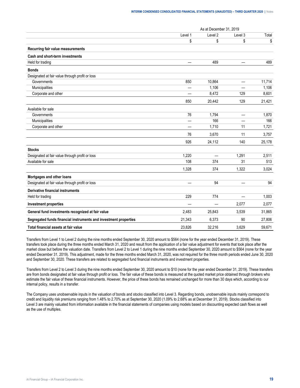|                                                                  |                 | As at December 31, 2019 |                          |        |
|------------------------------------------------------------------|-----------------|-------------------------|--------------------------|--------|
|                                                                  | Level 1         | Level 2                 | Level 3                  | Total  |
|                                                                  | \$              | \$                      | \$                       | \$     |
| Recurring fair value measurements                                |                 |                         |                          |        |
| Cash and short-term investments                                  |                 |                         |                          |        |
| Held for trading                                                 |                 | 489                     |                          | 489    |
| <b>Bonds</b>                                                     |                 |                         |                          |        |
| Designated at fair value through profit or loss                  |                 |                         |                          |        |
| Governments                                                      | 850             | 10,864                  | $\overline{\phantom{m}}$ | 11,714 |
| Municipalities                                                   | —               | 1,106                   | $\overline{\phantom{0}}$ | 1,106  |
| Corporate and other                                              | —               | 8,472                   | 129                      | 8,601  |
|                                                                  | 850             | 20,442                  | 129                      | 21,421 |
| Available for sale                                               |                 |                         |                          |        |
| Governments                                                      | 76              | 1,794                   | $\equiv$                 | 1,870  |
| Municipalities                                                   | —               | 166                     |                          | 166    |
| Corporate and other                                              |                 | 1,710                   | 11                       | 1,721  |
|                                                                  | 76              | 3,670                   | 11                       | 3,757  |
|                                                                  | 926             | 24,112                  | 140                      | 25,178 |
| <b>Stocks</b>                                                    |                 |                         |                          |        |
| Designated at fair value through profit or loss                  | 1,220           |                         | 1,291                    | 2,511  |
| Available for sale                                               | 108             | 374                     | 31                       | 513    |
|                                                                  | 1,328           | 374                     | 1,322                    | 3,024  |
| Mortgages and other loans                                        |                 |                         |                          |        |
| Designated at fair value through profit or loss                  | $\qquad \qquad$ | 94                      | $\overline{\phantom{0}}$ | 94     |
| Derivative financial instruments                                 |                 |                         |                          |        |
| Held for trading                                                 | 229             | 774                     | $\qquad \qquad$          | 1,003  |
| <b>Investment properties</b>                                     | —               | —                       | 2,077                    | 2,077  |
| General fund investments recognized at fair value                | 2,483           | 25,843                  | 3,539                    | 31,865 |
| Segregated funds financial instruments and investment properties | 21,343          | 6,373                   | 90                       | 27,806 |
| Total financial assets at fair value                             | 23.826          | 32.216                  | 3.629                    | 59.671 |

Transfers from Level 1 to Level 2 during the nine months ended September 30, 2020 amount to \$564 (none for the year ended December 31, 2019). These transfers took place during the three months ended March 31, 2020 and result from the application of a fair value adjustment for events that took place after the market close but before the valuation date. Transfers from Level 2 to Level 1 during the nine months ended September 30, 2020 amount to \$564 (none for the year ended December 31, 2019). This adjustment, made for the three months ended March 31, 2020, was not required for the three month periods ended June 30, 2020 and September 30, 2020. These transfers are related to segregated fund financial instruments and investment properties.

Transfers from Level 2 to Level 3 during the nine months ended September 30, 2020 amount to \$10 (none for the year ended December 31, 2019). These transfers are from bonds designated at fair value through profit or loss. The fair value of these bonds is measured at the quoted market price obtained through brokers who estimate the fair value of these financial instruments. However, the price of these bonds has remained unchanged for more than 30 days which, according to our internal policy, results in a transfer.

The Company uses unobservable inputs in the valuation of bonds and stocks classified into Level 3. Regarding bonds, unobservable inputs mainly correspond to credit and liquidity risk premiums ranging from 1.48% to 2.70% as at September 30, 2020 (1.09% to 2.68% as at December 31, 2019). Stocks classified into Level 3 are mainly valuated from information available in the financial statements of companies using models based on discounting expected cash flows as well as the use of multiples.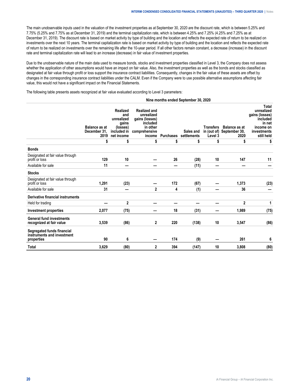The main unobservable inputs used in the valuation of the investment properties as at September 30, 2020 are the discount rate, which is between 5.25% and 7.75% (5.25% and 7.75% as at December 31, 2019) and the terminal capitalization rate, which is between 4.25% and 7.25% (4.25% and 7.25% as at December 31, 2019). The discount rate is based on market activity by type of building and the location and reflects the expected rate of return to be realized on investments over the next 10 years. The terminal capitalization rate is based on market activity by type of building and the location and reflects the expected rate of return to be realized on investments over the remaining life after the 10-year period. If all other factors remain constant, a decrease (increase) in the discount rate and terminal capitalization rate will lead to an increase (decrease) in fair value of investment properties.

Due to the unobservable nature of the main data used to measure bonds, stocks and investment properties classified in Level 3, the Company does not assess whether the application of other assumptions would have an impact on fair value. Also, the investment properties as well as the bonds and stocks classified as designated at fair value through profit or loss support the insurance contract liabilities. Consequently, changes in the fair value of these assets are offset by changes in the corresponding insurance contract liabilities under the CALM. Even if the Company were to use possible alternative assumptions affecting fair value, this would not have a significant impact on the Financial Statements.

The following table presents assets recognized at fair value evaluated according to Level 3 parameters:

#### **Nine months ended September 30, 2020 Balance as at December 31, 2019 net income Realized and unrealized gains (losses) included in Realized and unrealized gains (losses) included in other comprehensive income Purchases settlements Sales and Transfers Balance as at in (out of) Level 3 September 30, 2020 Total unrealized gains (losses) included in net income on investments still held \$ \$ \$ \$ \$ \$ \$ \$ Bonds** Designated at fair value through profit or loss **129 10 — 26 (28) 10 147 11**  Available for sale **11 — — — (11) — — — Stocks** Designated at fair value through profit or loss **1,291 (23) — 172 (67) — 1,373 (23)**  Available for sale **31 — 2 4 (1) — 36 — Derivative financial instruments** Held for trading **— 2 — — — — 2 1 Investment properties 2,077 (75) — 18 (31) — 1,989 (75) General fund investments recognized at fair value 3,539 (86) 2 220 (138) 10 3,547 (86) Segregated funds financial instruments and investment properties 90 6 — 174 (9) — 261 6 Total 3,629 (80) 2 394 (147) 10 3,808 (80)**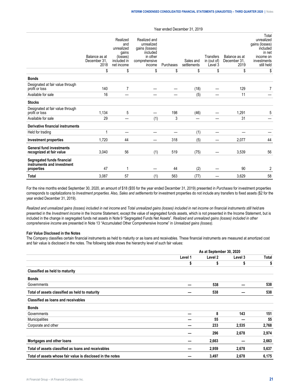|                                                                        | Balance as at<br>December 31.<br>2018 | Realized<br>and<br>unrealized<br>gains<br>(losses)<br>included in<br>net income | Realized and<br>unrealized<br>gains (losses)<br>included<br>in other<br>comprehensive<br>income | Purchases | Sales and<br>settlements | Transfers<br>in (out of)<br>Level 3 | Balance as at<br>December 31.<br>2019 | Total<br>unrealized<br>gains (losses)<br>included<br>in net<br>income on<br>investments<br>still held |
|------------------------------------------------------------------------|---------------------------------------|---------------------------------------------------------------------------------|-------------------------------------------------------------------------------------------------|-----------|--------------------------|-------------------------------------|---------------------------------------|-------------------------------------------------------------------------------------------------------|
|                                                                        | \$                                    | \$                                                                              | \$                                                                                              | \$        | \$                       | \$                                  | \$                                    | \$                                                                                                    |
| <b>Bonds</b>                                                           |                                       |                                                                                 |                                                                                                 |           |                          |                                     |                                       |                                                                                                       |
| Designated at fair value through<br>profit or loss                     | 140                                   | 7                                                                               |                                                                                                 |           | (18)                     |                                     | 129                                   | 7                                                                                                     |
| Available for sale                                                     | 16                                    |                                                                                 |                                                                                                 |           | (5)                      |                                     | 11                                    |                                                                                                       |
| <b>Stocks</b>                                                          |                                       |                                                                                 |                                                                                                 |           |                          |                                     |                                       |                                                                                                       |
| Designated at fair value through<br>profit or loss                     | 1,134                                 | 5                                                                               |                                                                                                 | 198       | (46)                     |                                     | 1,291                                 | 5                                                                                                     |
| Available for sale                                                     | 29                                    |                                                                                 | (1)                                                                                             | 3         |                          |                                     | 31                                    |                                                                                                       |
| <b>Derivative financial instruments</b>                                |                                       |                                                                                 |                                                                                                 |           |                          |                                     |                                       |                                                                                                       |
| Held for trading                                                       |                                       | -                                                                               |                                                                                                 |           | (1)                      |                                     |                                       |                                                                                                       |
| <b>Investment properties</b>                                           | 1,720                                 | 44                                                                              |                                                                                                 | 318       | (5)                      |                                     | 2,077                                 | 44                                                                                                    |
| <b>General fund investments</b><br>recognized at fair value            | 3,040                                 | 56                                                                              | (1)                                                                                             | 519       | (75)                     |                                     | 3,539                                 | 56                                                                                                    |
| Segregated funds financial<br>instruments and investment<br>properties | 47                                    | 1                                                                               |                                                                                                 | 44        | (2)                      |                                     | 90                                    | 2                                                                                                     |
| <b>Total</b>                                                           | 3,087                                 | 57                                                                              | (1)                                                                                             | 563       | (77)                     |                                     | 3,629                                 | 58                                                                                                    |

For the nine months ended September 30, 2020, an amount of \$18 (\$55 for the year ended December 31, 2019) presented in *Purchases* for investment properties corresponds to capitalizations to *Investment properties*. Also, *Sales and settlements* for investment properties do not include any transfers to fixed assets (\$2 for the year ended December 31, 2019).

*Realized and unrealized gains (losses) included in net income* and *Total unrealized gains (losses) included in net income on financial instruments still held* are presented in the *Investment income* in the Income Statement, except the value of segregated funds assets, which is not presented in the Income Statement, but is included in the change in segregated funds net assets in Note 9 "Segregated Funds Net Assets". *Realized and unrealized gains (losses) included in other comprehensive income* are presented in Note 13 "Accumulated Other Comprehensive Income" in *Unrealized gains (losses).*

#### **Fair Value Disclosed in the Notes**

The Company classifies certain financial instruments as held to maturity or as loans and receivables. These financial instruments are measured at amortized cost and fair value is disclosed in the notes. The following table shows the hierarchy level of such fair values:

|                                                            | As at September 30, 2020 |         |         |       |
|------------------------------------------------------------|--------------------------|---------|---------|-------|
|                                                            | Level 1                  | Level 2 | Level 3 | Total |
|                                                            | \$                       | \$      | \$      | \$    |
| Classified as held to maturity                             |                          |         |         |       |
| <b>Bonds</b>                                               |                          |         |         |       |
| Governments                                                |                          | 538     |         | 538   |
| Total of assets classified as held to maturity             |                          | 538     |         | 538   |
| <b>Classified as loans and receivables</b>                 |                          |         |         |       |
| <b>Bonds</b>                                               |                          |         |         |       |
| Governments                                                |                          | 8       | 143     | 151   |
| <b>Municipalities</b>                                      |                          | 55      |         | 55    |
| Corporate and other                                        |                          | 233     | 2,535   | 2,768 |
|                                                            |                          | 296     | 2,678   | 2,974 |
| Mortgages and other loans                                  |                          | 2,663   |         | 2,663 |
| Total of assets classified as loans and receivables        |                          | 2,959   | 2,678   | 5,637 |
| Total of assets whose fair value is disclosed in the notes |                          | 3,497   | 2,678   | 6,175 |

Year ended December 31, 2019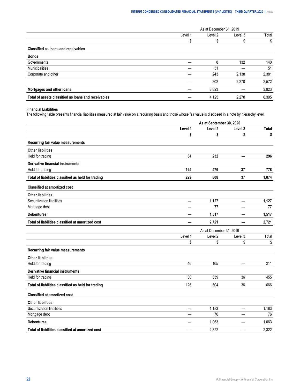|                                                     | As at December 31, 2019 |         |         |       |
|-----------------------------------------------------|-------------------------|---------|---------|-------|
|                                                     | Level 1                 | Level 2 | Level 3 | Total |
|                                                     |                         |         |         | S     |
| Classified as loans and receivables                 |                         |         |         |       |
| <b>Bonds</b>                                        |                         |         |         |       |
| Governments                                         |                         | 8       | 132     | 140   |
| Municipalities                                      |                         | 51      |         | -51   |
| Corporate and other                                 |                         | 243     | 2.138   | 2,381 |
|                                                     |                         | 302     | 2.270   | 2.572 |
| Mortgages and other loans                           |                         | 3,823   |         | 3,823 |
| Total of assets classified as loans and receivables |                         | 4,125   | 2.270   | 6,395 |

## **Financial Liabilities**

The following table presents financial liabilities measured at fair value on a recurring basis and those whose fair value is disclosed in a note by hierarchy level:

|                                                     | As at September 30, 2020 |         |                          |              |  |  |
|-----------------------------------------------------|--------------------------|---------|--------------------------|--------------|--|--|
|                                                     | Level 1                  | Level 2 | Level 3                  | <b>Total</b> |  |  |
|                                                     | \$                       | \$      | \$                       | \$           |  |  |
| Recurring fair value measurements                   |                          |         |                          |              |  |  |
| <b>Other liabilities</b>                            |                          |         |                          |              |  |  |
| Held for trading                                    | 64                       | 232     |                          | 296          |  |  |
| <b>Derivative financial instruments</b>             |                          |         |                          |              |  |  |
| Held for trading                                    | 165                      | 576     | 37                       | 778          |  |  |
| Total of liabilities classified as held for trading | 229                      | 808     | 37                       | 1,074        |  |  |
| <b>Classified at amortized cost</b>                 |                          |         |                          |              |  |  |
| <b>Other liabilities</b>                            |                          |         |                          |              |  |  |
| Securitization liabilities                          | —                        | 1,127   | $\overline{\phantom{0}}$ | 1,127        |  |  |
| Mortgage debt                                       |                          | 77      |                          | 77           |  |  |
| <b>Debentures</b>                                   |                          | 1,517   |                          | 1,517        |  |  |
| Total of liabilities classified at amortized cost   |                          | 2,721   |                          | 2,721        |  |  |
|                                                     | As at December 31, 2019  |         |                          |              |  |  |
|                                                     | Level 1                  | Level 2 | Level 3                  | Total        |  |  |
|                                                     | \$                       | \$      | \$                       | \$           |  |  |
| Recurring fair value measurements                   |                          |         |                          |              |  |  |
| <b>Other liabilities</b>                            |                          |         |                          |              |  |  |
| Held for trading                                    | 46                       | 165     |                          | 211          |  |  |
| <b>Derivative financial instruments</b>             |                          |         |                          |              |  |  |
| Held for trading                                    | 80                       | 339     | 36                       | 455          |  |  |
| Total of liabilities classified as held for trading | 126                      | 504     | 36                       | 666          |  |  |
| <b>Classified at amortized cost</b>                 |                          |         |                          |              |  |  |
| <b>Other liabilities</b>                            |                          |         |                          |              |  |  |
| Securitization liabilities                          | —                        | 1,183   | —                        | 1,183        |  |  |
|                                                     |                          |         |                          | 76           |  |  |
| Mortgage debt                                       |                          | 76      |                          |              |  |  |
| <b>Debentures</b>                                   |                          | 1,063   |                          | 1,063        |  |  |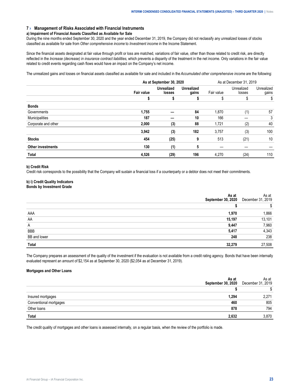## <span id="page-24-0"></span>**7 › Management of Risks Associated with Financial Instruments**

#### **a) Impairment of Financial Assets Classified as Available for Sale**

During the nine months ended September 30, 2020 and the year ended December 31, 2019, the Company did not reclassify any unrealized losses of stocks classified as available for sale from *Other comprehensive income* to *Investment income* in the Income Statement.

Since the financial assets designated at fair value through profit or loss are matched, variations of fair value, other than those related to credit risk, are directly reflected in the *Increase (decrease) in insurance contract liabilities*, which prevents a disparity of the treatment in the net income. Only variations in the fair value related to credit events regarding cash flows would have an impact on the Company's net income.

The unrealized gains and losses on financial assets classified as available for sale and included in the *Accumulated other comprehensive income* are the following:

|                          | As at September 30, 2020 |                             |                            | As at December 31, 2019 |                      |                     |
|--------------------------|--------------------------|-----------------------------|----------------------------|-------------------------|----------------------|---------------------|
|                          | <b>Fair value</b>        | <b>Unrealized</b><br>losses | <b>Unrealized</b><br>gains | Fair value              | Unrealized<br>losses | Unrealized<br>gains |
|                          |                          | S                           |                            |                         |                      | S                   |
| <b>Bonds</b>             |                          |                             |                            |                         |                      |                     |
| Governments              | 1,755                    |                             | 84                         | 1,870                   | (1)                  | 57                  |
| Municipalities           | 187                      |                             | 10                         | 166                     |                      | 3                   |
| Corporate and other      | 2,000                    | (3)                         | 88                         | 1,721                   | (2)                  | 40                  |
|                          | 3,942                    | (3)                         | 182                        | 3,757                   | (3)                  | 100                 |
| <b>Stocks</b>            | 454                      | (25)                        | 9                          | 513                     | (21)                 | 10                  |
| <b>Other investments</b> | 130                      | (1)                         | 5                          |                         |                      |                     |
| Total                    | 4,526                    | (29)                        | 196                        | 4,270                   | (24)                 | 110                 |

#### **b) Credit Risk**

Credit risk corresponds to the possibility that the Company will sustain a financial loss if a counterparty or a debtor does not meet their commitments.

#### **b) i) Credit Quality Indicators Bonds by Investment Grade**

|                     | 2020 | \s at<br>2019<br>Decem |
|---------------------|------|------------------------|
|                     |      |                        |
|                     |      | 866                    |
| АΑ                  |      | 101                    |
| n                   |      | 960                    |
| <b>BBP</b>          |      |                        |
| <b>BR</b> and lower |      | 238                    |
|                     |      |                        |

The Company prepares an assessment of the quality of the investment if the evaluation is not available from a credit rating agency. Bonds that have been internally evaluated represent an amount of \$2,154 as at September 30, 2020 (\$2,054 as at December 31, 2019).

#### **Mortgages and Other Loans**

|                 |                              | \s at<br>2019<br>Decem |
|-----------------|------------------------------|------------------------|
|                 |                              |                        |
|                 | 294                          |                        |
|                 | ---------------------------- | 805                    |
| )thei<br>∵loans |                              | 794                    |
|                 |                              |                        |

The credit quality of mortgages and other loans is assessed internally, on a regular basis, when the review of the portfolio is made.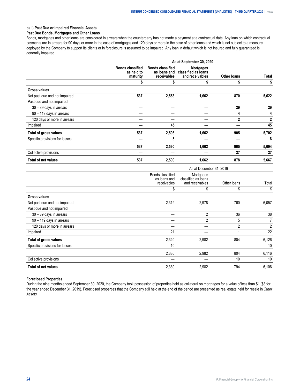# **b) ii) Past Due or Impaired Financial Assets**

# **Past Due Bonds, Mortgages and Other Loans**

Bonds, mortgages and other loans are considered in arrears when the counterparty has not made a payment at a contractual date. Any loan on which contractual payments are in arrears for 90 days or more in the case of mortgages and 120 days or more in the case of other loans and which is not subject to a measure deployed by the Company to support its clients or in foreclosure is assumed to be impaired. Any loan in default which is not insured and fully guaranteed is generally impaired.

|                                | As at September 30, 2020                          |                                                        |                                                            |                    |              |  |  |
|--------------------------------|---------------------------------------------------|--------------------------------------------------------|------------------------------------------------------------|--------------------|--------------|--|--|
|                                | <b>Bonds classified</b><br>as held to<br>maturity | <b>Bonds classified</b><br>as loans and<br>receivables | <b>Mortgages</b><br>classified as loans<br>and receivables | <b>Other loans</b> | Total        |  |  |
|                                |                                                   | S                                                      |                                                            | \$                 | \$           |  |  |
| <b>Gross values</b>            |                                                   |                                                        |                                                            |                    |              |  |  |
| Not past due and not impaired  | 537                                               | 2,553                                                  | 1,662                                                      | 870                | 5,622        |  |  |
| Past due and not impaired      |                                                   |                                                        |                                                            |                    |              |  |  |
| 30 - 89 days in arrears        |                                                   |                                                        |                                                            | 29                 | 29           |  |  |
| 90 - 119 days in arrears       |                                                   |                                                        |                                                            | 4                  | 4            |  |  |
| 120 days or more in arrears    |                                                   |                                                        |                                                            | $\mathbf{2}$       | $\mathbf{2}$ |  |  |
| Impaired                       |                                                   | 45                                                     |                                                            |                    | 45           |  |  |
| Total of gross values          | 537                                               | 2,598                                                  | 1,662                                                      | 905                | 5,702        |  |  |
| Specific provisions for losses |                                                   | 8                                                      |                                                            |                    | 8            |  |  |
|                                | 537                                               | 2,590                                                  | 1,662                                                      | 905                | 5,694        |  |  |
| Collective provisions          |                                                   |                                                        |                                                            | 27                 | 27           |  |  |
| <b>Total of net values</b>     | 537                                               | 2,590                                                  | 1,662                                                      | 878                | 5,667        |  |  |

|                                |                                                 | As at December 31, 2019                             |             |       |  |  |  |
|--------------------------------|-------------------------------------------------|-----------------------------------------------------|-------------|-------|--|--|--|
|                                | Bonds classified<br>as loans and<br>receivables | Mortgages<br>classified as loans<br>and receivables | Other loans | Total |  |  |  |
|                                | \$                                              | \$                                                  | \$          | \$    |  |  |  |
| <b>Gross values</b>            |                                                 |                                                     |             |       |  |  |  |
| Not past due and not impaired  | 2,319                                           | 2,978                                               | 760         | 6,057 |  |  |  |
| Past due and not impaired      |                                                 |                                                     |             |       |  |  |  |
| 30 - 89 days in arrears        |                                                 | 2                                                   | 36          | 38    |  |  |  |
| 90 - 119 days in arrears       |                                                 | $\mathfrak{p}$                                      | 5           | 7     |  |  |  |
| 120 days or more in arrears    |                                                 |                                                     | 2           | 2     |  |  |  |
| Impaired                       | 21                                              |                                                     |             | 22    |  |  |  |
| Total of gross values          | 2,340                                           | 2,982                                               | 804         | 6,126 |  |  |  |
| Specific provisions for losses | 10                                              |                                                     |             | 10    |  |  |  |
|                                | 2,330                                           | 2,982                                               | 804         | 6,116 |  |  |  |
| Collective provisions          |                                                 |                                                     | 10          | 10    |  |  |  |
| <b>Total of net values</b>     | 2,330                                           | 2,982                                               | 794         | 6,106 |  |  |  |

#### **Foreclosed Properties**

During the nine months ended September 30, 2020, the Company took possession of properties held as collateral on mortgages for a value of less than \$1 (\$3 for the year ended December 31, 2019). Foreclosed properties that the Company still held at the end of the period are presented as real estate held for resale in *Other Assets.*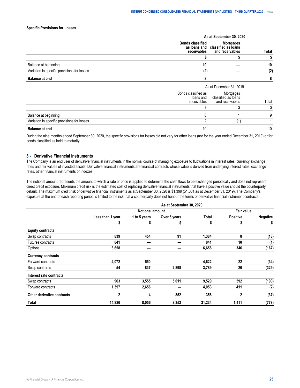# <span id="page-26-0"></span>**Specific Provisions for Losses**

|  | 2019 |      |
|--|------|------|
|  |      | ntal |
|  |      |      |
|  |      |      |
|  |      |      |
|  |      |      |

During the nine months ended September 30, 2020, the specific provisions for losses did not vary for other loans (nor for the year ended December 31, 2019) or for bonds classified as held to maturity.

#### **8 › Derivative Financial Instruments**

The Company is an end user of derivative financial instruments in the normal course of managing exposure to fluctuations in interest rates, currency exchange rates and fair values of invested assets. Derivative financial instruments are financial contracts whose value is derived from underlying interest rates, exchange rates, other financial instruments or indexes.

The notional amount represents the amount to which a rate or price is applied to determine the cash flows to be exchanged periodically and does not represent direct credit exposure. Maximum credit risk is the estimated cost of replacing derivative financial instruments that have a positive value should the counterparty default. The maximum credit risk of derivative financial instruments as at September 30, 2020 is \$1,399 (\$1,001 as at December 31, 2019). The Company's exposure at the end of each reporting period is limited to the risk that a counterparty does not honour the terms of derivative financial instrument contracts.

|                            |                  |                        | As at September 30, 2020 |        |                 |                 |
|----------------------------|------------------|------------------------|--------------------------|--------|-----------------|-----------------|
|                            |                  | <b>Notional amount</b> |                          |        | Fair value      |                 |
|                            | Less than 1 year | 1 to 5 years           | Over 5 years             | Total  | <b>Positive</b> | <b>Negative</b> |
|                            | J                | 5                      | \$                       | \$     | \$              | \$              |
| <b>Equity contracts</b>    |                  |                        |                          |        |                 |                 |
| Swap contracts             | 839              | 454                    | 91                       | 1,384  | 8               | (18)            |
| Futures contracts          | 841              |                        |                          | 841    | 10              | (1)             |
| Options                    | 6,658            |                        |                          | 6,658  | 346             | (167)           |
| <b>Currency contracts</b>  |                  |                        |                          |        |                 |                 |
| Forward contracts          | 4,072            | 550                    |                          | 4,622  | 22              | (34)            |
| Swap contracts             | 54               | 837                    | 2,898                    | 3,789  | 20              | (329)           |
| Interest rate contracts    |                  |                        |                          |        |                 |                 |
| Swap contracts             | 963              | 3,555                  | 5,011                    | 9,529  | 592             | (190)           |
| Forward contracts          | 1,397            | 2,656                  |                          | 4,053  | 411             | (2)             |
| Other derivative contracts | 2                | 4                      | 352                      | 358    | $\mathbf 2$     | (37)            |
| Total                      | 14,826           | 8,056                  | 8,352                    | 31,234 | 1,411           | (778)           |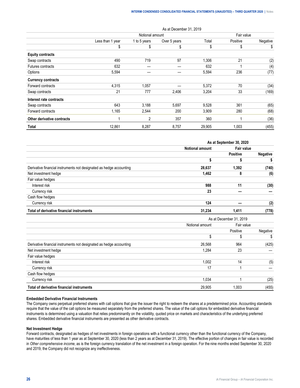|                            |                  |                 | As at December 31, 2019 |        |            |          |
|----------------------------|------------------|-----------------|-------------------------|--------|------------|----------|
|                            |                  | Notional amount |                         |        | Fair value |          |
|                            | Less than 1 year | 1 to 5 years    | Over 5 years            | Total  | Positive   | Negative |
|                            | \$               | \$              | \$                      | \$     | \$         | \$       |
| <b>Equity contracts</b>    |                  |                 |                         |        |            |          |
| Swap contracts             | 490              | 719             | 97                      | 1,306  | 21         | (2)      |
| Futures contracts          | 632              |                 |                         | 632    |            | (4)      |
| Options                    | 5,594            |                 |                         | 5,594  | 236        | (77)     |
| <b>Currency contracts</b>  |                  |                 |                         |        |            |          |
| Forward contracts          | 4,315            | 1,057           |                         | 5,372  | 70         | (34)     |
| Swap contracts             | 21               | 777             | 2,406                   | 3,204  | 33         | (169)    |
| Interest rate contracts    |                  |                 |                         |        |            |          |
| Swap contracts             | 643              | 3,188           | 5,697                   | 9,528  | 361        | (65)     |
| Forward contracts          | 1,165            | 2,544           | 200                     | 3,909  | 280        | (68)     |
| Other derivative contracts |                  | $\overline{2}$  | 357                     | 360    |            | (36)     |
| Total                      | 12,861           | 8,287           | 8,757                   | 29,905 | 1,003      | (455)    |

|                                                                     |                        | As at September 30, 2020 |                 |
|---------------------------------------------------------------------|------------------------|--------------------------|-----------------|
|                                                                     | <b>Notional amount</b> | Fair value               |                 |
|                                                                     |                        | <b>Positive</b>          | <b>Negative</b> |
|                                                                     |                        |                          |                 |
| Derivative financial instruments not designated as hedge accounting | 28,637                 | 1.392                    | (740)           |
| Net investment hedge                                                | 1.462                  | 8                        | (6)             |
| Fair value hedges                                                   |                        |                          |                 |
| Interest risk                                                       | 988                    | 11                       | (30)            |
| Currency risk                                                       | 23                     |                          |                 |
| Cash flow hedges                                                    |                        |                          |                 |
| Currency risk                                                       | 124                    |                          | (2)             |
| Total of derivative financial instruments                           | 31,234                 | 1,411                    | (778)           |

|                                                                     |                 | As at December 31, 2019 |          |
|---------------------------------------------------------------------|-----------------|-------------------------|----------|
|                                                                     | Notional amount | Fair value              |          |
|                                                                     |                 | Positive                | Negative |
|                                                                     |                 |                         |          |
| Derivative financial instruments not designated as hedge accounting | 26.568          | 964                     | (425)    |
| Net investment hedge                                                | 1.284           | 23                      |          |
| Fair value hedges                                                   |                 |                         |          |
| Interest risk                                                       | 1.002           | 14                      | (5)      |
| Currency risk                                                       | 17              |                         |          |
| Cash flow hedges                                                    |                 |                         |          |
| Currency risk                                                       | 1.034           |                         | (25)     |
| Total of derivative financial instruments                           | 29.905          | l.003                   | (455)    |

#### **Embedded Derivative Financial Instruments**

The Company owns perpetual preferred shares with call options that give the issuer the right to redeem the shares at a predetermined price. Accounting standards require that the value of the call options be measured separately from the preferred shares. The value of the call options for embedded derivative financial instruments is determined using a valuation that relies predominantly on the volatility, quoted price on markets and characteristics of the underlying preferred shares. Embedded derivative financial instruments are presented as other derivative contracts.

#### **Net Investment Hedge**

Forward contracts, designated as hedges of net investments in foreign operations with a functional currency other than the functional currency of the Company, have maturities of less than 1 year as at September 30, 2020 (less than 2 years as at December 31, 2019). The effective portion of changes in fair value is recorded in *Other comprehensive income*, as is the foreign currency translation of the net investment in a foreign operation. For the nine months ended September 30, 2020 and 2019, the Company did not recognize any ineffectiveness.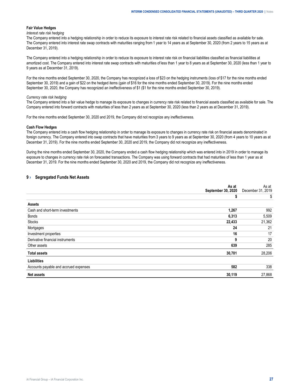#### <span id="page-28-0"></span>**Fair Value Hedges**

#### *Interest rate risk hedging*

The Company entered into a hedging relationship in order to reduce its exposure to interest rate risk related to financial assets classified as available for sale. The Company entered into interest rate swap contracts with maturities ranging from 1 year to 14 years as at September 30, 2020 (from 2 years to 15 years as at December 31, 2019).

The Company entered into a hedging relationship in order to reduce its exposure to interest rate risk on financial liabilities classified as financial liabilities at amortized cost. The Company entered into interest rate swap contracts with maturities of less than 1 year to 8 years as at September 30, 2020 (less than 1 year to 9 years as at December 31, 2019).

For the nine months ended September 30, 2020, the Company has recognized a loss of \$23 on the hedging instruments (loss of \$17 for the nine months ended September 30, 2019) and a gain of \$22 on the hedged items (gain of \$16 for the nine months ended September 30, 2019). For the nine months ended September 30, 2020, the Company has recognized an ineffectiveness of \$1 (\$1 for the nine months ended September 30, 2019).

#### *Currency rate risk hedging*

The Company entered into a fair value hedge to manage its exposure to changes in currency rate risk related to financial assets classified as available for sale. The Company entered into forward contracts with maturities of less than 2 years as at September 30, 2020 (less than 2 years as at December 31, 2019).

For the nine months ended September 30, 2020 and 2019, the Company did not recognize any ineffectiveness.

#### **Cash Flow Hedges**

The Company entered into a cash flow hedging relationship in order to manage its exposure to changes in currency rate risk on financial assets denominated in foreign currency. The Company entered into swap contracts that have maturities from 3 years to 9 years as at September 30, 2020 (from 4 years to 10 years as at December 31, 2019). For the nine months ended September 30, 2020 and 2019, the Company did not recognize any ineffectiveness.

During the nine months ended September 30, 2020, the Company ended a cash flow hedging relationship which was entered into in 2019 in order to manage its exposure to changes in currency rate risk on forecasted transactions. The Company was using forward contracts that had maturities of less than 1 year as at December 31, 2019. For the nine months ended September 30, 2020 and 2019, the Company did not recognize any ineffectiveness.

# **9 › Segregated Funds Net Assets**

|                                       | As at<br>September 30, 2020 | As at<br>December 31, 2019 |
|---------------------------------------|-----------------------------|----------------------------|
|                                       | 5                           | \$                         |
| <b>Assets</b>                         |                             |                            |
| Cash and short-term investments       | 1,267                       | 992                        |
| Bonds                                 | 6,313                       | 5,509                      |
| <b>Stocks</b>                         | 22,433                      | 21,362                     |
| Mortgages                             | 24                          | 21                         |
| Investment properties                 | 16                          | 17                         |
| Derivative financial instruments      | 9                           | 20                         |
| Other assets                          | 639                         | 285                        |
| <b>Total assets</b>                   | 30,701                      | 28,206                     |
| <b>Liabilities</b>                    |                             |                            |
| Accounts payable and accrued expenses | 582                         | 338                        |
| <b>Net assets</b>                     | 30,119                      | 27,868                     |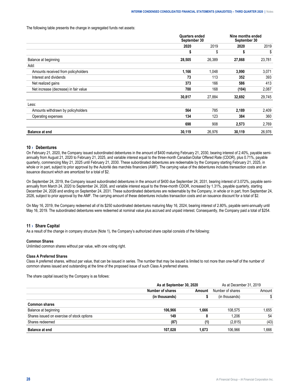#### <span id="page-29-0"></span>The following table presents the change in segregated funds net assets:

|                                       | <b>Quarters ended</b><br>September 30 |        | Nine months ended<br>September 30 |        |
|---------------------------------------|---------------------------------------|--------|-----------------------------------|--------|
|                                       | 2020                                  | 2019   | 2020                              | 2019   |
|                                       | \$                                    | \$     | \$                                | \$     |
| Balance at beginning                  | 28,505                                | 26,389 | 27,868                            | 23,781 |
| Add:                                  |                                       |        |                                   |        |
| Amounts received from policyholders   | 1,166                                 | 1,048  | 3,990                             | 3,071  |
| Interest and dividends                | 73                                    | 113    | 352                               | 393    |
| Net realized gains                    | 373                                   | 166    | 586                               | 413    |
| Net increase (decrease) in fair value | 700                                   | 168    | (104)                             | 2,087  |
|                                       | 30,817                                | 27,884 | 32,692                            | 29,745 |
| Less:                                 |                                       |        |                                   |        |
| Amounts withdrawn by policyholders    | 564                                   | 785    | 2,189                             | 2,409  |
| Operating expenses                    | 134                                   | 123    | 384                               | 360    |
|                                       | 698                                   | 908    | 2,573                             | 2,769  |
| <b>Balance at end</b>                 | 30,119                                | 26,976 | 30,119                            | 26,976 |

#### **10 › Debentures**

On February 21, 2020, the Company issued subordinated debentures in the amount of \$400 maturing February 21, 2030, bearing interest of 2.40%, payable semiannually from August 21, 2020 to February 21, 2025, and variable interest equal to the three-month Canadian Dollar Offered Rate (CDOR), plus 0.71%, payable quarterly, commencing May 21, 2025 until February 21, 2030. These subordinated debentures are redeemable by the Company starting February 21, 2025, in whole or in part, subject to prior approval by the Autorité des marchés financiers (AMF). The carrying value of the debentures includes transaction costs and an issuance discount which are amortized for a total of \$2.

On September 24, 2019, the Company issued subordinated debentures in the amount of \$400 due September 24, 2031, bearing interest of 3.072%, payable semiannually from March 24, 2020 to September 24, 2026, and variable interest equal to the three-month CDOR, increased by 1.31%, payable quarterly, starting December 24, 2026 and ending on September 24, 2031. These subordinated debentures are redeemable by the Company, in whole or in part, from September 24, 2026, subject to prior approval by the AMF. The carrying amount of these debentures includes transaction costs and an issuance discount for a total of \$2.

On May 16, 2019, the Company redeemed all of its \$250 subordinated debentures maturing May 16, 2024, bearing interest of 2.80%, payable semi-annually until May 16, 2019. The subordinated debentures were redeemed at nominal value plus accrued and unpaid interest. Consequently, the Company paid a total of \$254.

#### **11 › Share Capital**

As a result of the change in company structure (Note 1), the Company's authorized share capital consists of the following:

#### **Common Shares**

Unlimited common shares without par value, with one voting right.

#### **Class A Preferred Shares**

Class A preferred shares, without par value, that can be issued in series. The number that may be issued is limited to not more than one-half of the number of common shares issued and outstanding at the time of the proposed issue of such Class A preferred shares.

The share capital issued by the Company is as follows:

|                                            | As at September 30, 2020 | As at December 31, 2019 |        |
|--------------------------------------------|--------------------------|-------------------------|--------|
|                                            | Number of shares         | Number of<br>. snares   | Amount |
|                                            |                          |                         |        |
| <b>Common shares</b>                       |                          |                         |        |
| e at beginning:                            | 106.966                  | 11X 575                 | .655   |
| Shares issued on exercise of stock options | лс                       |                         | 54     |
| res redeemed                               |                          |                         |        |
| at end<br>ваю                              |                          |                         | .666   |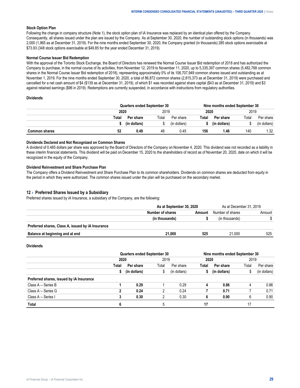#### <span id="page-30-0"></span>**Stock Option Plan**

Following the change in company structure (Note 1), the stock option plan of iA Insurance was replaced by an identical plan offered by the Company. Consequently, all shares issued under the plan are issued by the Company. As at September 30, 2020, the number of outstanding stock options (in thousands) was 2,000 (1,965 as at December 31, 2019). For the nine months ended September 30, 2020, the Company granted (in thousands) 285 stock options exercisable at \$73.93 (348 stock options exercisable at \$49.85 for the year ended December 31, 2019).

#### **Normal Course Issuer Bid Redemption**

With the approval of the Toronto Stock Exchange, the Board of Directors has renewed the Normal Course Issuer Bid redemption of 2018 and has authorized the Company to purchase, in the normal course of its activities, from November 12, 2019 to November 11, 2020, up to 5,335,397 common shares (5,482,768 common shares in the Normal Course Issuer Bid redemption of 2018), representing approximately 5% of its 106,707,949 common shares issued and outstanding as at November 1, 2019. For the nine months ended September 30, 2020, a total of 86,872 common shares (2,815,373 as at December 31, 2019) were purchased and cancelled for a net cash amount of \$4 (\$139 as at December 31, 2019), of which \$1 was recorded against share capital (\$43 as at December 31, 2019) and \$3 against retained earnings (\$96 in 2019). Redemptions are currently suspended, in accordance with instructions from regulatory authorities.

#### **Dividends**

|       | ers enaea. | l September 30 |      | Nine  | nontns ended! | September 30 |       |
|-------|------------|----------------|------|-------|---------------|--------------|-------|
| 2020  |            | 2019           |      | 2020  |               |              |       |
| ˈotal |            | ota            | nare | ⊺otal |               | ⊺ota         | snare |
|       |            |                |      |       |               |              |       |
|       | 0.49       | 48             |      | 156   | . .46         | 140          | 2د. ا |

#### **Dividends Declared and Not Recognized on Common Shares**

A dividend of 0.485 dollars per share was approved by the Board of Directors of the Company on November 4, 2020. This dividend was not recorded as a liability in these interim financial statements. This dividend will be paid on December 15, 2020 to the shareholders of record as of November 20, 2020, date on which it will be recognized in the equity of the Company.

#### **Dividend Reinvestment and Share Purchase Plan**

The Company offers a Dividend Reinvestment and Share Purchase Plan to its common shareholders. Dividends on common shares are deducted from equity in the period in which they were authorized. The common shares issued under the plan will be purchased on the secondary market.

## **12 › Preferred Shares Issued by a Subsidiary**

Preferred shares issued by iA Insurance, a subsidiary of the Company, are the following:

|                                                   |                | 30.2020 | at December 31, 2019 |        |
|---------------------------------------------------|----------------|---------|----------------------|--------|
|                                                   | mber of shares |         | snares               | Amount |
|                                                   |                |         |                      |        |
| Preferred shares, Class A, issued by iA Insurance |                |         |                      |        |
| at end<br>ce at beginning and                     | 21.000         |         | 1 በበበ                |        |

#### **Dividends**

|                                          |       | <b>Quarters ended September 30</b> |       |              |       | Nine months ended September 30 |       |              |
|------------------------------------------|-------|------------------------------------|-------|--------------|-------|--------------------------------|-------|--------------|
|                                          | 2020  |                                    | 2019  |              | 2020  |                                | 2019  |              |
|                                          | Total | Per share                          | Total | Per share    | Total | Per share                      | Total | Per share    |
|                                          |       | (in dollars)                       | S     | (in dollars) |       | (in dollars)                   |       | (in dollars) |
| Preferred shares, issued by iA Insurance |       |                                    |       |              |       |                                |       |              |
| Class A - Series B                       |       | 0.29                               |       | 0.29         | 4     | 0.86                           |       | 0.86         |
| Class A - Series G                       |       | 0.24                               |       | 0.24         |       | 0.71                           |       | 0.71         |
| Class A - Series I                       |       | 0.30                               |       | 0.30         | b     | 0.90                           | h     | 0.90         |
| Total                                    |       |                                    |       |              |       |                                |       |              |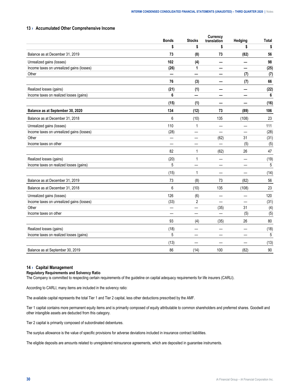## <span id="page-31-0"></span>**13 › Accumulated Other Comprehensive Income**

| translation<br><b>Stocks</b><br>Hedging<br>\$<br>\$<br>\$<br>\$<br>\$<br>Balance as at December 31, 2019<br>73<br>(8)<br>73<br>(82)<br>56<br>102<br>98<br>Unrealized gains (losses)<br>(4)<br>Income taxes on unrealized gains (losses)<br>(26)<br>(25)<br>1<br>Other<br>(7)<br>(7)<br>76<br>66<br>(3)<br>(7)<br>Realized losses (gains)<br>(21)<br>(1)<br>(22)<br>6<br>Income taxes on realized losses (gains)<br>6<br>$\overline{\phantom{0}}$<br>(15)<br>(16)<br>(1)<br>Balance as at September 30, 2020<br>134<br>(12)<br>(89)<br>106<br>73<br>Balance as at December 31, 2018<br>6<br>(10)<br>135<br>(108)<br>23<br>110<br>111<br>$\mathbf{1}$<br>Unrealized gains (losses)<br>(28)<br>Income taxes on unrealized gains (losses)<br>(28)<br>(31)<br>Other<br>(62)<br>31<br>(5)<br>Income taxes on other<br>(5)<br>82<br>(62)<br>26<br>47<br>1<br>Realized losses (gains)<br>(20)<br>1<br>(19)<br>Income taxes on realized losses (gains)<br>5<br>5<br>(15)<br>(14)<br>1<br>Balance as at December 31, 2019<br>73<br>(82)<br>56<br>(8)<br>73<br>6<br>(10)<br>135<br>(108)<br>23<br>Balance as at December 31, 2018<br>126<br>120<br>(6)<br>Unrealized gains (losses)<br>$\overline{\phantom{0}}$<br>(31)<br>Income taxes on unrealized gains (losses)<br>(33)<br>$\overline{2}$<br>Other<br>31<br>(4)<br>(35)<br>$\overline{\phantom{0}}$ |
|-----------------------------------------------------------------------------------------------------------------------------------------------------------------------------------------------------------------------------------------------------------------------------------------------------------------------------------------------------------------------------------------------------------------------------------------------------------------------------------------------------------------------------------------------------------------------------------------------------------------------------------------------------------------------------------------------------------------------------------------------------------------------------------------------------------------------------------------------------------------------------------------------------------------------------------------------------------------------------------------------------------------------------------------------------------------------------------------------------------------------------------------------------------------------------------------------------------------------------------------------------------------------------------------------------------------------------------------------|
|                                                                                                                                                                                                                                                                                                                                                                                                                                                                                                                                                                                                                                                                                                                                                                                                                                                                                                                                                                                                                                                                                                                                                                                                                                                                                                                                               |
|                                                                                                                                                                                                                                                                                                                                                                                                                                                                                                                                                                                                                                                                                                                                                                                                                                                                                                                                                                                                                                                                                                                                                                                                                                                                                                                                               |
|                                                                                                                                                                                                                                                                                                                                                                                                                                                                                                                                                                                                                                                                                                                                                                                                                                                                                                                                                                                                                                                                                                                                                                                                                                                                                                                                               |
|                                                                                                                                                                                                                                                                                                                                                                                                                                                                                                                                                                                                                                                                                                                                                                                                                                                                                                                                                                                                                                                                                                                                                                                                                                                                                                                                               |
|                                                                                                                                                                                                                                                                                                                                                                                                                                                                                                                                                                                                                                                                                                                                                                                                                                                                                                                                                                                                                                                                                                                                                                                                                                                                                                                                               |
|                                                                                                                                                                                                                                                                                                                                                                                                                                                                                                                                                                                                                                                                                                                                                                                                                                                                                                                                                                                                                                                                                                                                                                                                                                                                                                                                               |
|                                                                                                                                                                                                                                                                                                                                                                                                                                                                                                                                                                                                                                                                                                                                                                                                                                                                                                                                                                                                                                                                                                                                                                                                                                                                                                                                               |
|                                                                                                                                                                                                                                                                                                                                                                                                                                                                                                                                                                                                                                                                                                                                                                                                                                                                                                                                                                                                                                                                                                                                                                                                                                                                                                                                               |
|                                                                                                                                                                                                                                                                                                                                                                                                                                                                                                                                                                                                                                                                                                                                                                                                                                                                                                                                                                                                                                                                                                                                                                                                                                                                                                                                               |
|                                                                                                                                                                                                                                                                                                                                                                                                                                                                                                                                                                                                                                                                                                                                                                                                                                                                                                                                                                                                                                                                                                                                                                                                                                                                                                                                               |
|                                                                                                                                                                                                                                                                                                                                                                                                                                                                                                                                                                                                                                                                                                                                                                                                                                                                                                                                                                                                                                                                                                                                                                                                                                                                                                                                               |
|                                                                                                                                                                                                                                                                                                                                                                                                                                                                                                                                                                                                                                                                                                                                                                                                                                                                                                                                                                                                                                                                                                                                                                                                                                                                                                                                               |
|                                                                                                                                                                                                                                                                                                                                                                                                                                                                                                                                                                                                                                                                                                                                                                                                                                                                                                                                                                                                                                                                                                                                                                                                                                                                                                                                               |
|                                                                                                                                                                                                                                                                                                                                                                                                                                                                                                                                                                                                                                                                                                                                                                                                                                                                                                                                                                                                                                                                                                                                                                                                                                                                                                                                               |
|                                                                                                                                                                                                                                                                                                                                                                                                                                                                                                                                                                                                                                                                                                                                                                                                                                                                                                                                                                                                                                                                                                                                                                                                                                                                                                                                               |
|                                                                                                                                                                                                                                                                                                                                                                                                                                                                                                                                                                                                                                                                                                                                                                                                                                                                                                                                                                                                                                                                                                                                                                                                                                                                                                                                               |
|                                                                                                                                                                                                                                                                                                                                                                                                                                                                                                                                                                                                                                                                                                                                                                                                                                                                                                                                                                                                                                                                                                                                                                                                                                                                                                                                               |
|                                                                                                                                                                                                                                                                                                                                                                                                                                                                                                                                                                                                                                                                                                                                                                                                                                                                                                                                                                                                                                                                                                                                                                                                                                                                                                                                               |
|                                                                                                                                                                                                                                                                                                                                                                                                                                                                                                                                                                                                                                                                                                                                                                                                                                                                                                                                                                                                                                                                                                                                                                                                                                                                                                                                               |
|                                                                                                                                                                                                                                                                                                                                                                                                                                                                                                                                                                                                                                                                                                                                                                                                                                                                                                                                                                                                                                                                                                                                                                                                                                                                                                                                               |
|                                                                                                                                                                                                                                                                                                                                                                                                                                                                                                                                                                                                                                                                                                                                                                                                                                                                                                                                                                                                                                                                                                                                                                                                                                                                                                                                               |
|                                                                                                                                                                                                                                                                                                                                                                                                                                                                                                                                                                                                                                                                                                                                                                                                                                                                                                                                                                                                                                                                                                                                                                                                                                                                                                                                               |
|                                                                                                                                                                                                                                                                                                                                                                                                                                                                                                                                                                                                                                                                                                                                                                                                                                                                                                                                                                                                                                                                                                                                                                                                                                                                                                                                               |
|                                                                                                                                                                                                                                                                                                                                                                                                                                                                                                                                                                                                                                                                                                                                                                                                                                                                                                                                                                                                                                                                                                                                                                                                                                                                                                                                               |
| (5)<br>(5)<br>Income taxes on other                                                                                                                                                                                                                                                                                                                                                                                                                                                                                                                                                                                                                                                                                                                                                                                                                                                                                                                                                                                                                                                                                                                                                                                                                                                                                                           |
| 93<br>26<br>80<br>(35)<br>(4)                                                                                                                                                                                                                                                                                                                                                                                                                                                                                                                                                                                                                                                                                                                                                                                                                                                                                                                                                                                                                                                                                                                                                                                                                                                                                                                 |
| (18)<br>(18)<br>Realized losses (gains)<br>--                                                                                                                                                                                                                                                                                                                                                                                                                                                                                                                                                                                                                                                                                                                                                                                                                                                                                                                                                                                                                                                                                                                                                                                                                                                                                                 |
| 5<br>5<br>Income taxes on realized losses (gains)                                                                                                                                                                                                                                                                                                                                                                                                                                                                                                                                                                                                                                                                                                                                                                                                                                                                                                                                                                                                                                                                                                                                                                                                                                                                                             |
| (13)<br>(13)                                                                                                                                                                                                                                                                                                                                                                                                                                                                                                                                                                                                                                                                                                                                                                                                                                                                                                                                                                                                                                                                                                                                                                                                                                                                                                                                  |
| Balance as at September 30, 2019<br>86<br>100<br>(82)<br>90<br>(14)                                                                                                                                                                                                                                                                                                                                                                                                                                                                                                                                                                                                                                                                                                                                                                                                                                                                                                                                                                                                                                                                                                                                                                                                                                                                           |

## **14 › Capital Management**

#### **Regulatory Requirements and Solvency Ratio**

The Company is committed to respecting certain requirements of the guideline on capital adequacy requirements for life insurers (CARLI).

According to CARLI, many items are included in the solvency ratio:

The available capital represents the total Tier 1 and Tier 2 capital, less other deductions prescribed by the AMF.

Tier 1 capital contains more permanent equity items and is primarily composed of equity attributable to common shareholders and preferred shares. Goodwill and other intangible assets are deducted from this category.

Tier 2 capital is primarily composed of subordinated debentures.

The surplus allowance is the value of specific provisions for adverse deviations included in insurance contract liabilities.

The eligible deposits are amounts related to unregistered reinsurance agreements, which are deposited in guarantee instruments.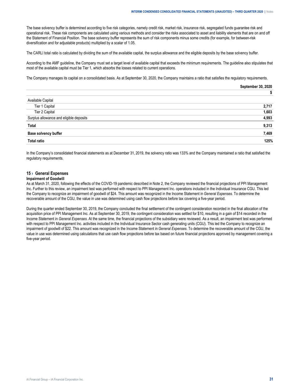The base solvency buffer is determined according to five risk categories, namely credit risk, market risk, insurance risk, segregated funds guarantee risk and operational risk. These risk components are calculated using various methods and consider the risks associated to asset and liability elements that are on and off the Statement of Financial Position. The base solvency buffer represents the sum of risk components minus some credits (for example, for between-risk diversification and for adjustable products) multiplied by a scalar of 1.05.

The CARLI total ratio is calculated by dividing the sum of the available capital, the surplus allowance and the eligible deposits by the base solvency buffer.

According to the AMF guideline, the Company must set a target level of available capital that exceeds the minimum requirements. The guideline also stipulates that most of the available capital must be Tier 1, which absorbs the losses related to current operations.

The Company manages its capital on a consolidated basis. As at September 30, 2020, the Company maintains a ratio that satisfies the regulatory requirements.

|                                         | . 2020<br>September 30, |
|-----------------------------------------|-------------------------|
|                                         |                         |
| Available Capital                       |                         |
| Tier 1 Capital                          | 2.717                   |
| Tier 2 Capital                          | .603                    |
| Surplus allowance and eligible deposits | 1.993                   |
| Tota                                    | 1.313                   |
| <b>Base solvency buffer</b>             | .469                    |
| Total ratio                             |                         |
|                                         |                         |

In the Company's consolidated financial statements as at December 31, 2019, the solvency ratio was 133% and the Company maintained a ratio that satisfied the regulatory requirements.

## **15 › General Expenses**

#### **Impairment of Goodwill**

As at March 31, 2020, following the effects of the COVID-19 pandemic described in Note 2, the Company reviewed the financial projections of PPI Management Inc. Further to this review, an impairment test was performed with respect to PPI Management Inc. operations included in the Individual Insurance CGU. This led the Company to recognize an impairment of goodwill of \$24. This amount was recognized in the Income Statement in *General Expenses*. To determine the recoverable amount of the CGU, the value in use was determined using cash flow projections before tax covering a five-year period.

During the quarter ended September 30, 2019, the Company concluded the final settlement of the contingent consideration recorded in the final allocation of the acquisition price of PPI Management Inc. As at September 30, 2019, the contingent consideration was settled for \$10, resulting in a gain of \$14 recorded in the Income Statement in *General Expenses*. At the same time, the financial projections of the subsidiary were reviewed. As a result, an impairment test was performed with respect to PPI Management Inc. activities included in the Individual Insurance Sector cash generating units (CGU). This led the Company to recognize an impairment of goodwill of \$22. This amount was recognized in the Income Statement in *General Expenses*. To determine the recoverable amount of the CGU, the value in use was determined using calculations that use cash flow projections before tax based on future financial projections approved by management covering a five-year period.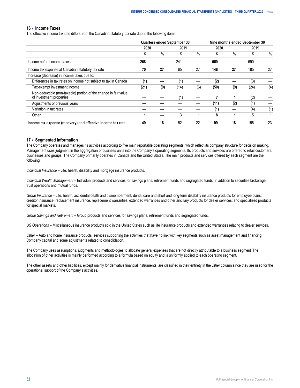#### <span id="page-33-0"></span>**16 › Income Taxes**

The effective income tax rate differs from the Canadian statutory tax rate due to the following items:

|                                                                                              | <b>Quarters ended September 30</b> |     |      |     |      |     | Nine months ended September 30 |      |  |  |
|----------------------------------------------------------------------------------------------|------------------------------------|-----|------|-----|------|-----|--------------------------------|------|--|--|
|                                                                                              | 2020                               |     | 2019 |     | 2020 |     | 2019                           |      |  |  |
|                                                                                              |                                    | %   | \$   | %   |      | %   | \$                             | $\%$ |  |  |
| Income before income taxes                                                                   | 268                                |     | 241  |     | 559  |     | 690                            |      |  |  |
| Income tax expense at Canadian statutory tax rate                                            | 70                                 | 27  | 65   | 27  | 148  | 27  | 185                            | 27   |  |  |
| Increase (decrease) in income taxes due to:                                                  |                                    |     |      |     |      |     |                                |      |  |  |
| Differences in tax rates on income not subject to tax in Canada                              | (1)                                |     | (1)  |     | (2)  |     | (3)                            |      |  |  |
| Tax-exempt investment income                                                                 | (21)                               | (9) | (14) | (6) | (50) | (9) | (24)                           | (4)  |  |  |
| Non-deductible (non-taxable) portion of the change in fair value<br>of investment properties |                                    |     | (1)  |     |      |     | (2)                            |      |  |  |
| Adjustments of previous years                                                                |                                    |     |      |     | (11) | (2) | (1)                            |      |  |  |
| Variation in tax rates                                                                       |                                    |     |      |     | (1)  |     | (4)                            | (1)  |  |  |
| Other                                                                                        |                                    |     | 3    |     | 8    |     | 5                              |      |  |  |
| Income tax expense (recovery) and effective income tax rate                                  | 49                                 | 18  | 52   | 22  | 99   | 18  | 156                            | 23   |  |  |

#### **17 › Segmented Information**

The Company operates and manages its activities according to five main reportable operating segments, which reflect its company structure for decision making. Management uses judgment in the aggregation of business units into the Company's operating segments. Its products and services are offered to retail customers, businesses and groups. The Company primarily operates in Canada and the United States. The main products and services offered by each segment are the following:

*Individual Insurance* – Life, health, disability and mortgage insurance products.

*Individual Wealth Management* – Individual products and services for savings plans, retirement funds and segregated funds, in addition to securities brokerage, trust operations and mutual funds.

*Group Insurance* – Life, health, accidental death and dismemberment, dental care and short and long-term disability insurance products for employee plans; creditor insurance, replacement insurance, replacement warranties, extended warranties and other ancillary products for dealer services; and specialized products for special markets.

*Group Savings and Retirement* – Group products and services for savings plans, retirement funds and segregated funds.

*US Operations* – Miscellaneous insurance products sold in the United States such as life insurance products and extended warranties relating to dealer services.

*Other* – Auto and home insurance products, services supporting the activities that have no link with key segments such as asset management and financing, Company capital and some adjustments related to consolidation.

The Company uses assumptions, judgments and methodologies to allocate general expenses that are not directly attributable to a business segment. The allocation of other activities is mainly performed according to a formula based on equity and is uniformly applied to each operating segment.

The other assets and other liabilities, except mainly for derivative financial instruments, are classified in their entirety in the *Other* column since they are used for the operational support of the Company's activities.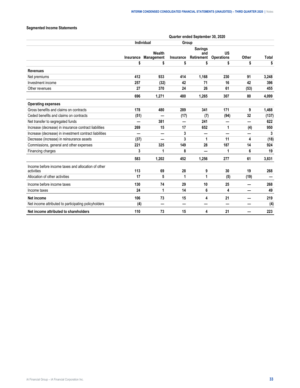# **Segmented Income Statements**

|                                                                  |           |                      |                          | Quarter ended September 30, 2020    |                                |              |       |
|------------------------------------------------------------------|-----------|----------------------|--------------------------|-------------------------------------|--------------------------------|--------------|-------|
|                                                                  |           | <b>Individual</b>    | Group                    |                                     |                                |              |       |
|                                                                  | Insurance | Wealth<br>Management | Insurance                | <b>Savings</b><br>and<br>Retirement | <b>US</b><br><b>Operations</b> | <b>Other</b> | Total |
|                                                                  | \$        | \$                   | \$                       | \$                                  | \$                             | \$           | \$    |
| <b>Revenues</b>                                                  |           |                      |                          |                                     |                                |              |       |
| Net premiums                                                     | 412       | 933                  | 414                      | 1,168                               | 230                            | 91           | 3,248 |
| Investment income                                                | 257       | (32)                 | 42                       | 71                                  | 16                             | 42           | 396   |
| Other revenues                                                   | 27        | 370                  | 24                       | 26                                  | 61                             | (53)         | 455   |
|                                                                  | 696       | 1,271                | 480                      | 1,265                               | 307                            | 80           | 4,099 |
| <b>Operating expenses</b>                                        |           |                      |                          |                                     |                                |              |       |
| Gross benefits and claims on contracts                           | 178       | 480                  | 289                      | 341                                 | 171                            | 9            | 1,468 |
| Ceded benefits and claims on contracts                           | (51)      |                      | (17)                     | (7)                                 | (94)                           | 32           | (137) |
| Net transfer to segregated funds                                 |           | 381                  | $\overline{\phantom{0}}$ | 241                                 | –                              | —            | 622   |
| Increase (decrease) in insurance contract liabilities            | 269       | 15                   | 17                       | 652                                 | 1                              | (4)          | 950   |
| Increase (decrease) in investment contract liabilities           |           |                      | 3                        |                                     |                                |              | 3     |
| Decrease (increase) in reinsurance assets                        | (37)      |                      | 3                        | 1                                   | 11                             | 4            | (18)  |
| Commissions, general and other expenses                          | 221       | 325                  | 149                      | 28                                  | 187                            | 14           | 924   |
| Financing charges                                                | 3         | 1                    | 8                        |                                     | 1                              | 6            | 19    |
|                                                                  | 583       | 1,202                | 452                      | 1,256                               | 277                            | 61           | 3,831 |
| Income before income taxes and allocation of other<br>activities | 113       | 69                   | 28                       | 9                                   | 30                             | 19           | 268   |
| Allocation of other activities                                   | 17        | 5                    | 1                        | 1                                   | (5)                            | (19)         |       |
| Income before income taxes                                       | 130       | 74                   | 29                       | 10                                  | 25                             |              | 268   |
| Income taxes                                                     | 24        | 1                    | 14                       | 6                                   | 4                              |              | 49    |
| Net income                                                       | 106       | 73                   | 15                       | 4                                   | 21                             |              | 219   |
| Net income attributed to participating policyholders             | (4)       |                      | —                        |                                     | –                              |              | (4)   |
| Net income attributed to shareholders                            | 110       | 73                   | 15                       | 4                                   | 21                             |              | 223   |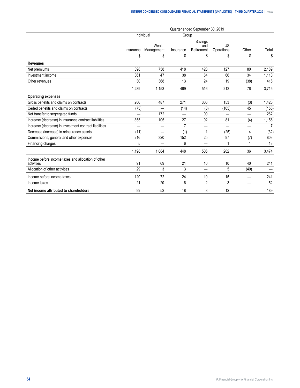|                                                                  |           |                      |                | Quarter ended September 30, 2019 |                  |       |                |
|------------------------------------------------------------------|-----------|----------------------|----------------|----------------------------------|------------------|-------|----------------|
|                                                                  |           | Individual           |                | Group                            |                  |       |                |
|                                                                  | Insurance | Wealth<br>Management | Insurance      | Savings<br>and<br>Retirement     | US<br>Operations | Other | Total          |
|                                                                  | \$        | \$                   | \$             | \$                               | \$               | \$    | \$             |
| <b>Revenues</b>                                                  |           |                      |                |                                  |                  |       |                |
| Net premiums                                                     | 398       | 738                  | 418            | 428                              | 127              | 80    | 2,189          |
| Investment income                                                | 861       | 47                   | 38             | 64                               | 66               | 34    | 1,110          |
| Other revenues                                                   | 30        | 368                  | 13             | 24                               | 19               | (38)  | 416            |
|                                                                  | 1,289     | 1,153                | 469            | 516                              | 212              | 76    | 3,715          |
| <b>Operating expenses</b>                                        |           |                      |                |                                  |                  |       |                |
| Gross benefits and claims on contracts                           | 206       | 487                  | 271            | 306                              | 153              | (3)   | 1,420          |
| Ceded benefits and claims on contracts                           | (73)      |                      | (14)           | (8)                              | (105)            | 45    | (155)          |
| Net transfer to segregated funds                                 |           | 172                  |                | 90                               |                  |       | 262            |
| Increase (decrease) in insurance contract liabilities            | 855       | 105                  | 27             | 92                               | 81               | (4)   | 1,156          |
| Increase (decrease) in investment contract liabilities           |           |                      | $\overline{7}$ | -                                | —                |       | $\overline{7}$ |
| Decrease (increase) in reinsurance assets                        | (11)      |                      | (1)            | 1                                | (25)             | 4     | (32)           |
| Commissions, general and other expenses                          | 216       | 320                  | 152            | 25                               | 97               | (7)   | 803            |
| Financing charges                                                | 5         |                      | 6              |                                  |                  |       | 13             |
|                                                                  | 1,198     | 1,084                | 448            | 506                              | 202              | 36    | 3,474          |
| Income before income taxes and allocation of other<br>activities | 91        | 69                   | 21             | 10                               | 10               | 40    | 241            |
| Allocation of other activities                                   | 29        | 3                    | 3              | _                                | 5                | (40)  |                |
| Income before income taxes                                       | 120       | 72                   | 24             | 10                               | 15               |       | 241            |
| Income taxes                                                     | 21        | 20                   | 6              | 2                                | 3                |       | 52             |
| Net income attributed to shareholders                            | 99        | 52                   | 18             | 8                                | 12               |       | 189            |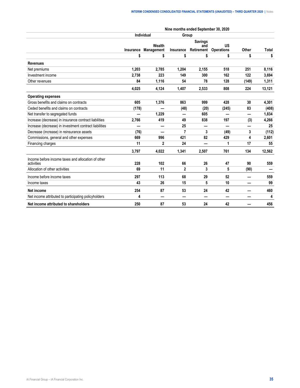|                                                                  |           | Individual           |              | Nine months ended September 30, 2020<br>Group |                                |       |        |
|------------------------------------------------------------------|-----------|----------------------|--------------|-----------------------------------------------|--------------------------------|-------|--------|
|                                                                  | Insurance | Wealth<br>Management | Insurance    | <b>Savings</b><br>and<br>Retirement           | <b>US</b><br><b>Operations</b> | Other | Total  |
|                                                                  | \$        | \$                   | \$           | \$                                            | \$                             | \$    | \$     |
| <b>Revenues</b>                                                  |           |                      |              |                                               |                                |       |        |
| Net premiums                                                     | 1,203     | 2,785                | 1,204        | 2,155                                         | 518                            | 251   | 8,116  |
| Investment income                                                | 2,738     | 223                  | 149          | 300                                           | 162                            | 122   | 3,694  |
| Other revenues                                                   | 84        | 1,116                | 54           | 78                                            | 128                            | (149) | 1,311  |
|                                                                  | 4,025     | 4,124                | 1,407        | 2,533                                         | 808                            | 224   | 13,121 |
| <b>Operating expenses</b>                                        |           |                      |              |                                               |                                |       |        |
| Gross benefits and claims on contracts                           | 605       | 1,376                | 863          | 999                                           | 428                            | 30    | 4,301  |
| Ceded benefits and claims on contracts                           | (178)     |                      | (48)         | (20)                                          | (245)                          | 83    | (408)  |
| Net transfer to segregated funds                                 |           | 1,229                | —            | 605                                           |                                | —     | 1,834  |
| Increase (decrease) in insurance contract liabilities            | 2,766     | 419                  | 49           | 838                                           | 197                            | (3)   | 4,266  |
| Increase (decrease) in investment contract liabilities           |           |                      | 25           |                                               |                                |       | 25     |
| Decrease (increase) in reinsurance assets                        | (76)      |                      | 7            | 3                                             | (49)                           | 3     | (112)  |
| Commissions, general and other expenses                          | 669       | 996                  | 421          | 82                                            | 429                            | 4     | 2,601  |
| Financing charges                                                | 11        | $\mathbf{2}$         | 24           |                                               | 1                              | 17    | 55     |
|                                                                  | 3,797     | 4,022                | 1,341        | 2,507                                         | 761                            | 134   | 12,562 |
| Income before income taxes and allocation of other<br>activities | 228       | 102                  | 66           | 26                                            | 47                             | 90    | 559    |
| Allocation of other activities                                   | 69        | 11                   | $\mathbf{2}$ | 3                                             | 5                              | (90)  |        |
| Income before income taxes                                       | 297       | 113                  | 68           | 29                                            | 52                             |       | 559    |
| Income taxes                                                     | 43        | 26                   | 15           | 5                                             | 10                             | -     | 99     |
| Net income                                                       | 254       | 87                   | 53           | 24                                            | 42                             |       | 460    |
| Net income attributed to participating policyholders             | 4         |                      |              |                                               | –                              |       | 4      |
| Net income attributed to shareholders                            | 250       | 87                   | 53           | 24                                            | 42                             |       | 456    |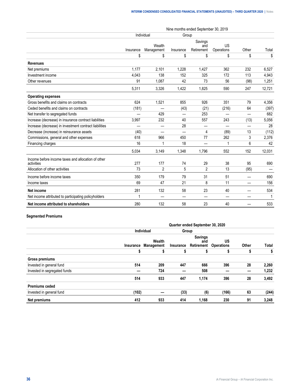|                                                                  |           |                      |                          | Nine months ended September 30, 2019 |                          |                          |        |
|------------------------------------------------------------------|-----------|----------------------|--------------------------|--------------------------------------|--------------------------|--------------------------|--------|
|                                                                  |           | Individual           | Group                    |                                      |                          |                          |        |
|                                                                  | Insurance | Wealth<br>Management | Insurance                | Savings<br>and<br>Retirement         | US<br>Operations         | Other                    | Total  |
|                                                                  | \$        | \$                   | \$                       | \$                                   | \$                       | \$                       | \$     |
| <b>Revenues</b>                                                  |           |                      |                          |                                      |                          |                          |        |
| Net premiums                                                     | 1,177     | 2,101                | 1,228                    | 1,427                                | 362                      | 232                      | 6,527  |
| Investment income                                                | 4,043     | 138                  | 152                      | 325                                  | 172                      | 113                      | 4,943  |
| Other revenues                                                   | 91        | 1,087                | 42                       | 73                                   | 56                       | (98)                     | 1,251  |
|                                                                  | 5,311     | 3,326                | 1,422                    | 1,825                                | 590                      | 247                      | 12,721 |
| <b>Operating expenses</b>                                        |           |                      |                          |                                      |                          |                          |        |
| Gross benefits and claims on contracts                           | 624       | 1,521                | 855                      | 926                                  | 351                      | 79                       | 4,356  |
| Ceded benefits and claims on contracts                           | (181)     |                      | (43)                     | (21)                                 | (216)                    | 64                       | (397)  |
| Net transfer to segregated funds                                 |           | 429                  | $\overline{\phantom{0}}$ | 253                                  | $\overline{\phantom{0}}$ | $\overline{\phantom{0}}$ | 682    |
| Increase (decrease) in insurance contract liabilities            | 3,997     | 232                  | 40                       | 557                                  | 243                      | (13)                     | 5,056  |
| Increase (decrease) in investment contract liabilities           |           |                      | 28                       |                                      |                          |                          | 28     |
| Decrease (increase) in reinsurance assets                        | (40)      |                      | $\overline{\phantom{0}}$ | 4                                    | (89)                     | 13                       | (112)  |
| Commissions, general and other expenses                          | 618       | 966                  | 450                      | 77                                   | 262                      | 3                        | 2,376  |
| Financing charges                                                | 16        | 1                    | 18                       |                                      | 1                        | 6                        | 42     |
|                                                                  | 5,034     | 3,149                | 1,348                    | 1,796                                | 552                      | 152                      | 12,031 |
| Income before income taxes and allocation of other<br>activities | 277       | 177                  | 74                       | 29                                   | 38                       | 95                       | 690    |
| Allocation of other activities                                   | 73        | $\overline{2}$       | 5                        | $\overline{2}$                       | 13                       | (95)                     |        |
| Income before income taxes                                       | 350       | 179                  | 79                       | 31                                   | 51                       |                          | 690    |
| Income taxes                                                     | 69        | 47                   | 21                       | 8                                    | 11                       | $\overline{\phantom{0}}$ | 156    |
| <b>Net income</b>                                                | 281       | 132                  | 58                       | 23                                   | 40                       |                          | 534    |
| Net income attributed to participating policyholders             | 1         |                      | —                        |                                      | —                        |                          | 1      |
| Net income attributed to shareholders                            | 280       | 132                  | 58                       | 23                                   | 40                       |                          | 533    |

# **Segmented Premiums**

|                              | Quarter ended September 30, 2020 |                                |       |                                                      |                         |       |       |  |  |  |
|------------------------------|----------------------------------|--------------------------------|-------|------------------------------------------------------|-------------------------|-------|-------|--|--|--|
|                              |                                  | Individual                     | Group |                                                      |                         |       |       |  |  |  |
|                              |                                  | Wealth<br>Insurance Management |       | <b>Savings</b><br>and<br><b>Insurance Retirement</b> | US<br><b>Operations</b> | Other | Total |  |  |  |
|                              | ъ                                | \$                             | s     | S                                                    | S                       | \$    | \$    |  |  |  |
| Gross premiums               |                                  |                                |       |                                                      |                         |       |       |  |  |  |
| Invested in general fund     | 514                              | 209                            | 447   | 666                                                  | 396                     | 28    | 2,260 |  |  |  |
| Invested in segregated funds |                                  | 724                            |       | 508                                                  |                         |       | 1,232 |  |  |  |
|                              | 514                              | 933                            | 447   | 1,174                                                | 396                     | 28    | 3,492 |  |  |  |
| <b>Premiums ceded</b>        |                                  |                                |       |                                                      |                         |       |       |  |  |  |
| Invested in general fund     | (102)                            |                                | (33)  | (6)                                                  | (166)                   | 63    | (244) |  |  |  |
| Net premiums                 | 412                              | 933                            | 414   | 1,168                                                | 230                     | 91    | 3,248 |  |  |  |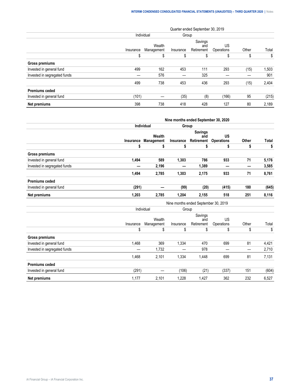|                              |           |                      |           | Quarter ended September 30, 2019 |                  |       |       |
|------------------------------|-----------|----------------------|-----------|----------------------------------|------------------|-------|-------|
|                              |           | Individual           | Group     |                                  |                  |       |       |
|                              | Insurance | Wealth<br>Management | Insurance | Savings<br>and<br>Retirement     | US<br>Operations | Other | Total |
|                              | \$        | S                    | S         | \$                               |                  | S     | \$    |
| <b>Gross premiums</b>        |           |                      |           |                                  |                  |       |       |
| Invested in general fund     | 499       | 162                  | 453       | 111                              | 293              | (15)  | 1,503 |
| Invested in segregated funds |           | 576                  |           | 325                              |                  |       | 901   |
|                              | 499       | 738                  | 453       | 436                              | 293              | (15)  | 2,404 |
| <b>Premiums ceded</b>        |           |                      |           |                                  |                  |       |       |
| Invested in general fund     | (101)     |                      | (35)      | (8)                              | (166)            | 95    | (215) |
| Net premiums                 | 398       | 738                  | 418       | 428                              | 127              | 80    | 2,189 |

|                              |           |                      |           | Nine months ended September 30, 2020 |                                |                          |              |
|------------------------------|-----------|----------------------|-----------|--------------------------------------|--------------------------------|--------------------------|--------------|
|                              |           | Individual           | Group     |                                      |                                |                          |              |
|                              | Insurance | Wealth<br>Management | Insurance | <b>Savings</b><br>and<br>Retirement  | <b>US</b><br><b>Operations</b> | Other                    | <b>Total</b> |
|                              | \$        | \$                   | \$        | \$                                   | \$                             | \$                       | \$           |
| <b>Gross premiums</b>        |           |                      |           |                                      |                                |                          |              |
| Invested in general fund     | 1,494     | 589                  | 1,303     | 786                                  | 933                            | 71                       | 5,176        |
| Invested in segregated funds |           | 2,196                |           | 1,389                                |                                |                          | 3,585        |
|                              | 1,494     | 2,785                | 1,303     | 2,175                                | 933                            | 71                       | 8,761        |
| <b>Premiums ceded</b>        |           |                      |           |                                      |                                |                          |              |
| Invested in general fund     | (291)     |                      | (99)      | (20)                                 | (415)                          | 180                      | (645)        |
| Net premiums                 | 1,203     | 2,785                | 1,204     | 2,155                                | 518                            | 251                      | 8,116        |
|                              |           |                      |           | Nine months ended September 30, 2019 |                                |                          |              |
|                              |           | Individual           | Group     |                                      |                                |                          |              |
|                              | Insurance | Wealth<br>Management | Insurance | Savings<br>and<br>Retirement         | <b>US</b><br>Operations        | Other                    | Total        |
|                              | \$        | \$                   | \$        | \$                                   | \$                             | \$                       | \$           |
| <b>Gross premiums</b>        |           |                      |           |                                      |                                |                          |              |
| Invested in general fund     | 1,468     | 369                  | 1,334     | 470                                  | 699                            | 81                       | 4,421        |
| Invested in segregated funds |           | 1,732                |           | 978                                  |                                | $\overline{\phantom{0}}$ | 2,710        |
|                              | 1,468     | 2,101                | 1,334     | 1,448                                | 699                            | 81                       | 7,131        |
| <b>Premiums ceded</b>        |           |                      |           |                                      |                                |                          |              |
| Invested in general fund     | (291)     | —                    | (106)     | (21)                                 | (337)                          | 151                      | (604)        |
| <b>Net premiums</b>          | 1,177     | 2,101                | 1,228     | 1,427                                | 362                            | 232                      | 6,527        |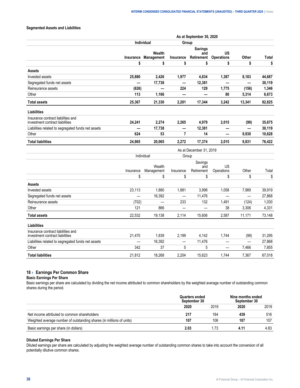#### <span id="page-39-0"></span>**Segmented Assets and Liabilities**

|                                                                       |                     |                          |                          | As at September 30, 2020            |                                |                          |              |
|-----------------------------------------------------------------------|---------------------|--------------------------|--------------------------|-------------------------------------|--------------------------------|--------------------------|--------------|
|                                                                       |                     | Individual               | Group                    |                                     |                                |                          |              |
|                                                                       | Insurance           | Wealth<br>Management     | Insurance                | <b>Savings</b><br>and<br>Retirement | <b>US</b><br><b>Operations</b> | Other                    | <b>Total</b> |
|                                                                       | \$                  | \$                       | \$                       | \$                                  | \$                             | \$                       | \$           |
| <b>Assets</b>                                                         |                     |                          |                          |                                     |                                |                          |              |
| Invested assets                                                       | 25,880              | 2,426                    | 1,977                    | 4,834                               | 1,387                          | 8,183                    | 44,687       |
| Segregated funds net assets                                           |                     | 17,738                   | $\overline{\phantom{0}}$ | 12,381                              | $\overline{\phantom{0}}$       | $\overline{\phantom{0}}$ | 30,119       |
| Reinsurance assets                                                    | (626)               | $\overline{\phantom{0}}$ | 224                      | 129                                 | 1,775                          | (156)                    | 1,346        |
| Other                                                                 | 113                 | 1,166                    | —                        |                                     | 80                             | 5,314                    | 6,673        |
| <b>Total assets</b>                                                   | 25,367              | 21,330                   | 2,201                    | 17,344                              | 3,242                          | 13,341                   | 82,825       |
| Liabilities                                                           |                     |                          |                          |                                     |                                |                          |              |
| Insurance contract liabilities and<br>investment contract liabilities | 24,241              | 2,274                    | 2,265                    | 4,979                               | 2,015                          | (99)                     | 35,675       |
| Liabilities related to segregated funds net assets                    |                     | 17,738                   | —                        | 12,381                              |                                |                          | 30,119       |
| Other                                                                 | 624                 | 53                       | $\overline{7}$           | 14                                  | —                              | 9,930                    | 10,628       |
| <b>Total liabilities</b>                                              | 24,865              | 20,065                   | 2,272                    | 17,374                              | 2,015                          | 9,831                    | 76,422       |
|                                                                       |                     |                          |                          | As at December 31, 2019             |                                |                          |              |
|                                                                       | Individual<br>Group |                          |                          |                                     |                                |                          |              |
|                                                                       |                     |                          |                          | Savings                             |                                |                          |              |
|                                                                       | Insurance           | Wealth<br>Management     | Insurance                | and<br>Retirement                   | <b>US</b><br>Operations        | Other                    | Total        |
|                                                                       | \$                  | \$                       | \$                       | \$                                  | \$                             | \$                       | \$           |
| Assets                                                                |                     |                          |                          |                                     |                                |                          |              |
| Invested assets                                                       | 23,113              | 1,880                    | 1,881                    | 3,998                               | 1,058                          | 7,989                    | 39,919       |
| Segregated funds net assets                                           |                     | 16,392                   | —                        | 11,476                              |                                | $\overline{\phantom{0}}$ | 27,868       |
| Reinsurance assets                                                    | (702)               | $\equiv$                 | 233                      | 132                                 | 1,491                          | (124)                    | 1,030        |
| Other                                                                 | 121                 | 866                      | $\overline{\phantom{0}}$ |                                     | 38                             | 3,306                    | 4,331        |
| <b>Total assets</b>                                                   | 22.532              | 19,138                   | 2,114                    | 15,606                              | 2,587                          | 11,171                   | 73,148       |
| <b>Liabilities</b>                                                    |                     |                          |                          |                                     |                                |                          |              |
| Insurance contract liabilities and<br>investment contract liabilities | 21,470              | 1,839                    | 2,199                    | 4,142                               | 1,744                          | (99)                     | 31,295       |
| Liabilities related to segregated funds net assets                    |                     | 16,392                   | —                        | 11,476                              |                                | $\equiv$                 | 27,868       |
| Other                                                                 | 342                 | 37                       | 5                        | 5                                   |                                | 7,466                    | 7,855        |
| <b>Total liabilities</b>                                              | 21.812              | 18.268                   | 2.204                    | 15.623                              | 1.744                          | 7.367                    | 67.018       |

# **18 › Earnings Per Common Share**

#### **Basic Earnings Per Share**

Basic earnings per share are calculated by dividing the net income attributed to common shareholders by the weighted average number of outstanding common shares during the period.

|                                                             | enaea<br>30 | Nine months ended<br>-30 |     |  |
|-------------------------------------------------------------|-------------|--------------------------|-----|--|
|                                                             |             |                          |     |  |
| Net income attributed to common shareholders                |             | 84                       | 516 |  |
| rage number of outstanding shares (in millions<br>of units) |             | .Ur                      | 107 |  |
| Bası<br>. nei                                               | .O.         |                          |     |  |

#### **Diluted Earnings Per Share**

Diluted earnings per share are calculated by adjusting the weighted average number of outstanding common shares to take into account the conversion of all potentially dilutive common shares.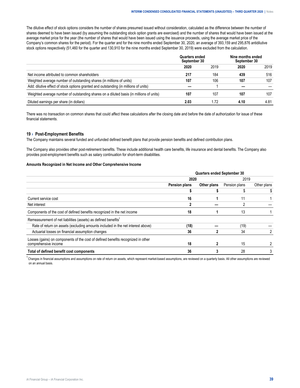<span id="page-40-0"></span>The dilutive effect of stock options considers the number of shares presumed issued without consideration, calculated as the difference between the number of shares deemed to have been issued (by assuming the outstanding stock option grants are exercised) and the number of shares that would have been issued at the average market price for the year (the number of shares that would have been issued using the issuance proceeds, using the average market price of the Company's common shares for the period). For the quarter and for the nine months ended September 30, 2020, an average of 393,159 and 295,876 antidilutive stock options respectively (51,460 for the quarter and 130,910 for the nine months ended September 30, 2019) were excluded from the calculation.

|                                                                                         | ters engeg<br>tember 30 |      | Nine months ended<br>her 30 |      |
|-----------------------------------------------------------------------------------------|-------------------------|------|-----------------------------|------|
|                                                                                         | 2020                    | 2019 |                             | 2019 |
| Net income attributed to common shareholders                                            |                         |      |                             | 516  |
| Weighted average number of outstanding shares (in millions of units)                    |                         |      |                             | 107  |
| Add: dilutive effect of stock options granted and outstanding (in millions of units)    |                         |      |                             |      |
| Weighted average number of outstanding shares on a diluted basis (in millions of units) |                         |      |                             |      |
| Diluted earnings per share (in dollars)                                                 |                         |      |                             |      |

There was no transaction on common shares that could affect these calculations after the closing date and before the date of authorization for issue of these financial statements.

#### **19 › Post-Employment Benefits**

The Company maintains several funded and unfunded defined benefit plans that provide pension benefits and defined contribution plans.

The Company also provides other post-retirement benefits. These include additional health care benefits, life insurance and dental benefits. The Company also provides post-employment benefits such as salary continuation for short-term disabilities.

## **Amounts Recognized in Net Income and Other Comprehensive Income**

|                                                                                  | <b>Quarters ended September 30</b> |             |               |             |
|----------------------------------------------------------------------------------|------------------------------------|-------------|---------------|-------------|
|                                                                                  | 2020                               |             | 2019          |             |
|                                                                                  | <b>Pension plans</b>               | Other plans | Pension plans | Other plans |
|                                                                                  |                                    |             |               |             |
| Current service cost                                                             | 16                                 |             |               |             |
| Net interest                                                                     |                                    |             |               |             |
| Components of the cost of defined benefits recognized in the net income          | 18                                 |             | 13            |             |
| Remeasurement of net liabilities (assets) as defined benefits <sup>1</sup>       |                                    |             |               |             |
| Rate of return on assets (excluding amounts included in the net interest above)  | (18)                               |             | (19)          |             |
| Actuarial losses on financial assumption changes                                 | 36                                 |             | 34            |             |
| Losses (gains) on components of the cost of defined benefits recognized in other |                                    |             |               |             |
| comprehensive income                                                             | 18                                 |             | 15            |             |
| Total of defined benefit cost components                                         | 36                                 |             | 28            |             |

<sup>1</sup> Changes in financial assumptions and assumptions on rate of return on assets, which represent market-based assumptions, are reviewed on a quarterly basis. All other assumptions are reviewed on an annual basis.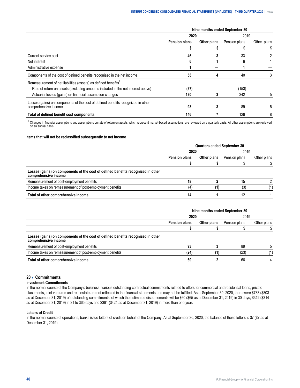<span id="page-41-0"></span>

|                                                                                                          | Nine months ended September 30 |             |               |             |
|----------------------------------------------------------------------------------------------------------|--------------------------------|-------------|---------------|-------------|
|                                                                                                          | 2020                           |             | 2019          |             |
|                                                                                                          | Pension plans                  | Other plans | Pension plans | Other plans |
|                                                                                                          |                                |             |               |             |
| Current service cost                                                                                     | 46                             |             | 33            |             |
| Net interest                                                                                             | ĥ                              |             | 6             |             |
| Administrative expense                                                                                   |                                |             |               |             |
| Components of the cost of defined benefits recognized in the net income                                  | 53                             |             | 40            |             |
| Remeasurement of net liabilities (assets) as defined benefits <sup>1</sup>                               |                                |             |               |             |
| Rate of return on assets (excluding amounts included in the net interest above)                          | (37)                           |             | (153)         |             |
| Actuarial losses (gains) on financial assumption changes                                                 | 130                            | 3           | 242           | 5           |
| Losses (gains) on components of the cost of defined benefits recognized in other<br>comprehensive income | 93                             |             | 89            | 5           |
| Total of defined benefit cost components                                                                 | 146                            |             | 129           | 8           |

 $^1$  Changes in financial assumptions and assumptions on rate of return on assets, which represent market-based assumptions, are reviewed on a quarterly basis. All other assumptions are reviewed on an annual basis.

#### **Items that will not be reclassified subsequently to net income**

|                                                                                                          | <b>Quarters ended September 30</b> |             |               |             |
|----------------------------------------------------------------------------------------------------------|------------------------------------|-------------|---------------|-------------|
|                                                                                                          |                                    |             | 2019          |             |
|                                                                                                          | <b>Pension plans</b>               | Other plans | Pension plans | Other plans |
|                                                                                                          |                                    |             |               |             |
| Losses (gains) on components of the cost of defined benefits recognized in other<br>comprehensive income |                                    |             |               |             |
| Remeasurement of post-employment benefits                                                                |                                    |             |               |             |
| Income taxes on remeasurement of post-employment benefits                                                |                                    |             |               |             |
| Total of other comprehensive income                                                                      |                                    |             |               |             |

|                                                                                                          | Nine months ended September 30 |             |               |             |
|----------------------------------------------------------------------------------------------------------|--------------------------------|-------------|---------------|-------------|
|                                                                                                          |                                |             | 2019          |             |
|                                                                                                          | <b>Pension plans</b>           | Other plans | Pension plans | Other plans |
|                                                                                                          |                                |             |               |             |
| Losses (gains) on components of the cost of defined benefits recognized in other<br>comprehensive income |                                |             |               |             |
| Remeasurement of post-employment benefits                                                                |                                |             |               |             |
| Income taxes on remeasurement of post-employment benefits                                                |                                |             |               |             |
| Total of other comprehensive income                                                                      |                                |             |               |             |

# **20 › Commitments**

# **Investment Commitments**

In the normal course of the Company's business, various outstanding contractual commitments related to offers for commercial and residential loans, private placements, joint ventures and real estate are not reflected in the financial statements and may not be fulfilled. As at September 30, 2020, there were \$783 (\$803 as at December 31, 2019) of outstanding commitments, of which the estimated disbursements will be \$60 (\$65 as at December 31, 2019) in 30 days, \$342 (\$314 as at December 31, 2019) in 31 to 365 days and \$381 (\$424 as at December 31, 2019) in more than one year.

#### **Letters of Credit**

In the normal course of operations, banks issue letters of credit on behalf of the Company. As at September 30, 2020, the balance of these letters is \$7 (\$7 as at December 31, 2019).